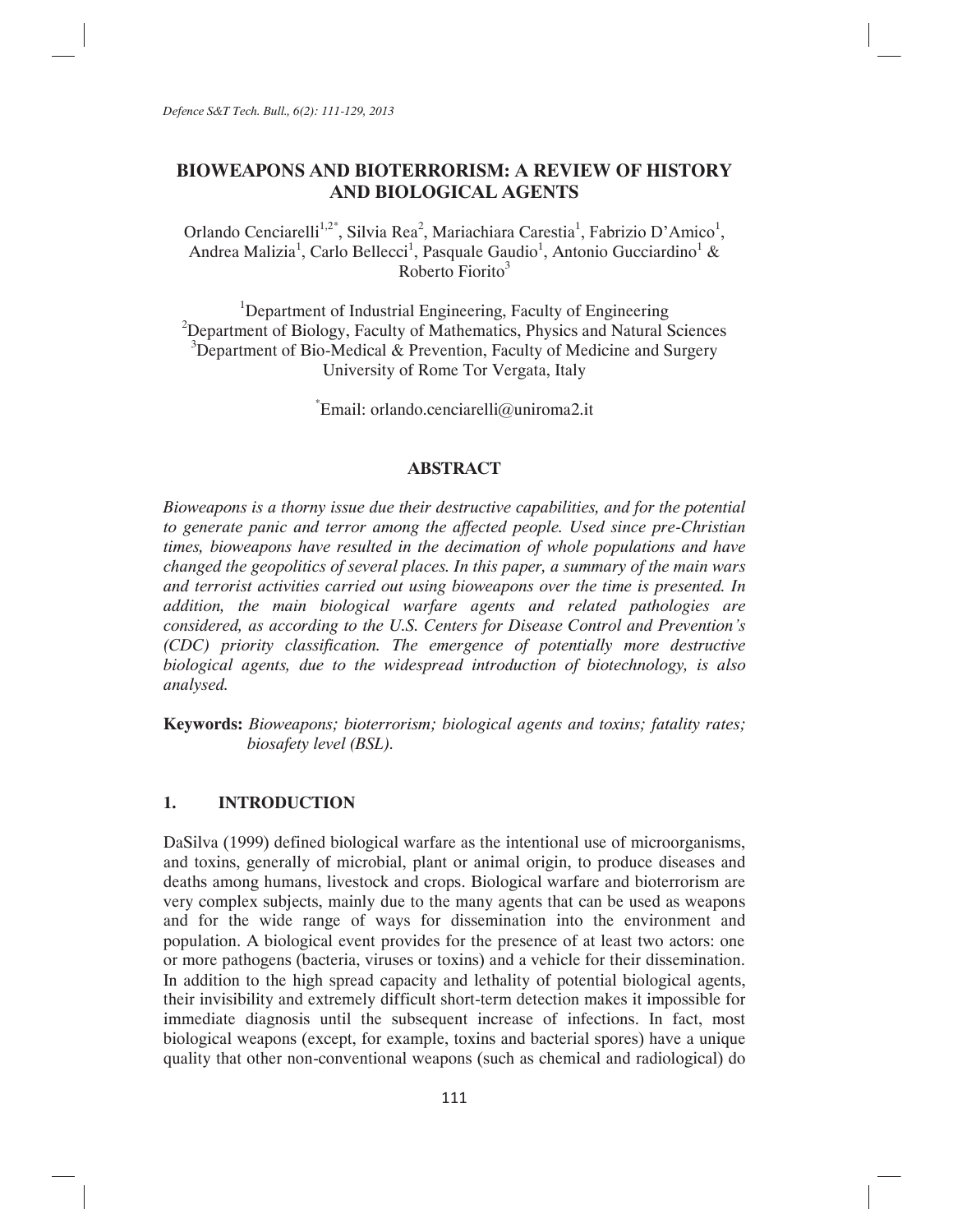*Defence S&T Tech. Bull., 6(2): 111-129, 2013* 

# **BIOWEAPONS AND BIOTERRORISM: A REVIEW OF HISTORY AND BIOLOGICAL AGENTS**

Orlando Cenciarelli<sup>1,2\*</sup>, Silvia Rea<sup>2</sup>, Mariachiara Carestia<sup>1</sup>, Fabrizio D'Amico<sup>1</sup>, Andrea Malizia<sup>1</sup>, Carlo Bellecci<sup>1</sup>, Pasquale Gaudio<sup>1</sup>, Antonio Gucciardino<sup>1</sup> & Roberto Fiorito<sup>3</sup>

<sup>1</sup>Department of Industrial Engineering, Faculty of Engineering  $2$ Department of Biology, Faculty of Mathematics, Physics and Natural Sciences <sup>3</sup>Department of Bio-Medical & Prevention, Faculty of Medicine and Surgery University of Rome Tor Vergata, Italy

Email: orlando.cenciarelli@uniroma2.it

### **ABSTRACT**

*Bioweapons is a thorny issue due their destructive capabilities, and for the potential to generate panic and terror among the affected people. Used since pre-Christian times, bioweapons have resulted in the decimation of whole populations and have changed the geopolitics of several places. In this paper, a summary of the main wars and terrorist activities carried out using bioweapons over the time is presented. In addition, the main biological warfare agents and related pathologies are considered, as according to the U.S. Centers for Disease Control and Prevention's (CDC) priority classification. The emergence of potentially more destructive biological agents, due to the widespread introduction of biotechnology, is also analysed.* 

**Keywords:** *Bioweapons; bioterrorism; biological agents and toxins; fatality rates; biosafety level (BSL).* 

### **1. INTRODUCTION**

DaSilva (1999) defined biological warfare as the intentional use of microorganisms, and toxins, generally of microbial, plant or animal origin, to produce diseases and deaths among humans, livestock and crops. Biological warfare and bioterrorism are very complex subjects, mainly due to the many agents that can be used as weapons and for the wide range of ways for dissemination into the environment and population. A biological event provides for the presence of at least two actors: one or more pathogens (bacteria, viruses or toxins) and a vehicle for their dissemination. In addition to the high spread capacity and lethality of potential biological agents, their invisibility and extremely difficult short-term detection makes it impossible for immediate diagnosis until the subsequent increase of infections. In fact, most biological weapons (except, for example, toxins and bacterial spores) have a unique quality that other non-conventional weapons (such as chemical and radiological) do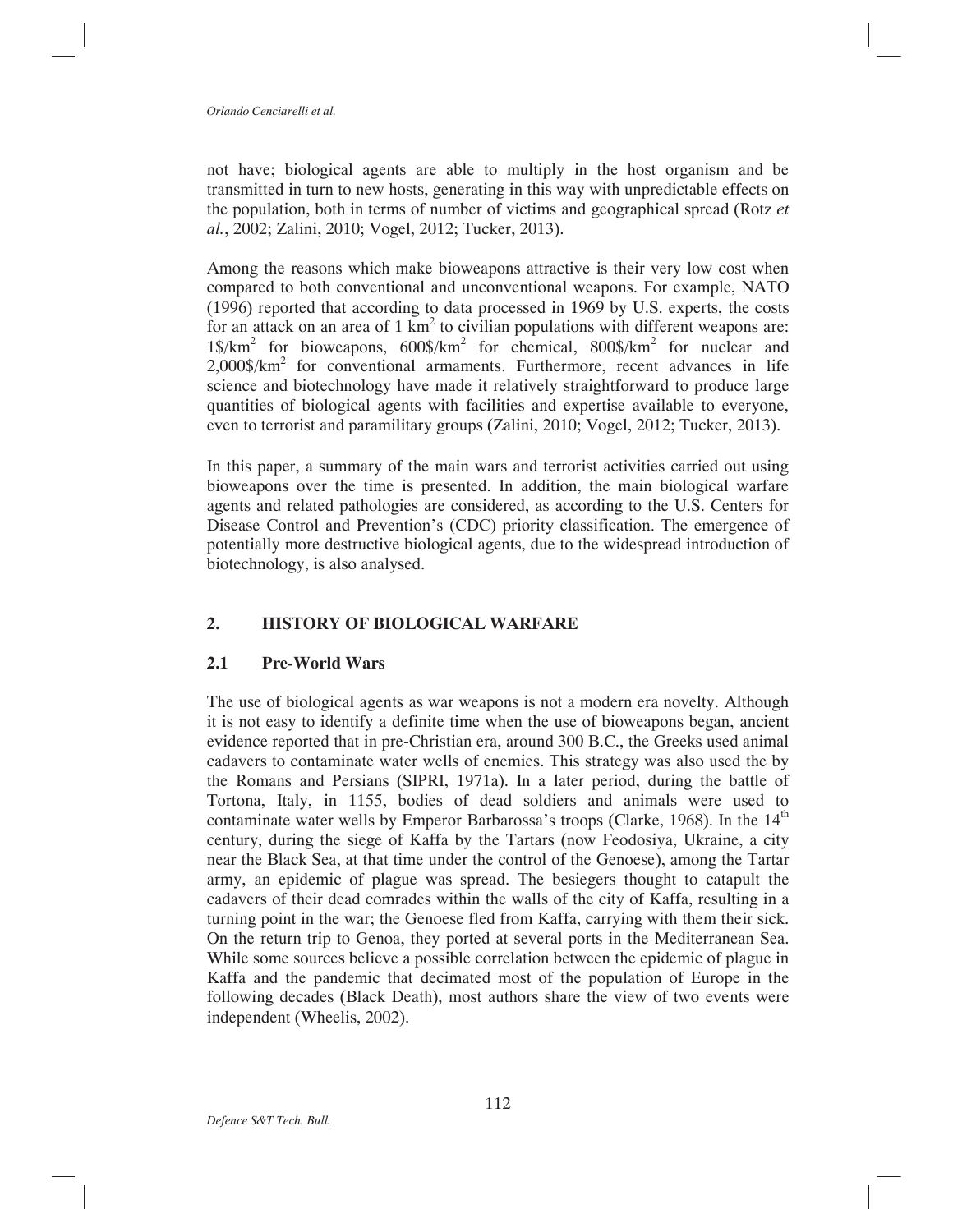not have; biological agents are able to multiply in the host organism and be transmitted in turn to new hosts, generating in this way with unpredictable effects on the population, both in terms of number of victims and geographical spread (Rotz *et al.*, 2002; Zalini, 2010; Vogel, 2012; Tucker, 2013).

Among the reasons which make bioweapons attractive is their very low cost when compared to both conventional and unconventional weapons. For example, NATO (1996) reported that according to data processed in 1969 by U.S. experts, the costs for an attack on an area of  $1 \text{ km}^2$  to civilian populations with different weapons are: 1\$/km<sup>2</sup> for bioweapons, 600\$/km<sup>2</sup> for chemical, 800\$/km<sup>2</sup> for nuclear and  $2,000\$/\text{km}^2$  for conventional armaments. Furthermore, recent advances in life science and biotechnology have made it relatively straightforward to produce large quantities of biological agents with facilities and expertise available to everyone, even to terrorist and paramilitary groups (Zalini, 2010; Vogel, 2012; Tucker, 2013).

In this paper, a summary of the main wars and terrorist activities carried out using bioweapons over the time is presented. In addition, the main biological warfare agents and related pathologies are considered, as according to the U.S. Centers for Disease Control and Prevention's (CDC) priority classification. The emergence of potentially more destructive biological agents, due to the widespread introduction of biotechnology, is also analysed.

# **2. HISTORY OF BIOLOGICAL WARFARE**

# **2.1 Pre-World Wars**

The use of biological agents as war weapons is not a modern era novelty. Although it is not easy to identify a definite time when the use of bioweapons began, ancient evidence reported that in pre-Christian era, around 300 B.C., the Greeks used animal cadavers to contaminate water wells of enemies. This strategy was also used the by the Romans and Persians (SIPRI, 1971a). In a later period, during the battle of Tortona, Italy, in 1155, bodies of dead soldiers and animals were used to contaminate water wells by Emperor Barbarossa's troops (Clarke, 1968). In the  $14<sup>th</sup>$ century, during the siege of Kaffa by the Tartars (now Feodosiya, Ukraine, a city near the Black Sea, at that time under the control of the Genoese), among the Tartar army, an epidemic of plague was spread. The besiegers thought to catapult the cadavers of their dead comrades within the walls of the city of Kaffa, resulting in a turning point in the war; the Genoese fled from Kaffa, carrying with them their sick. On the return trip to Genoa, they ported at several ports in the Mediterranean Sea. While some sources believe a possible correlation between the epidemic of plague in Kaffa and the pandemic that decimated most of the population of Europe in the following decades (Black Death), most authors share the view of two events were independent (Wheelis, 2002).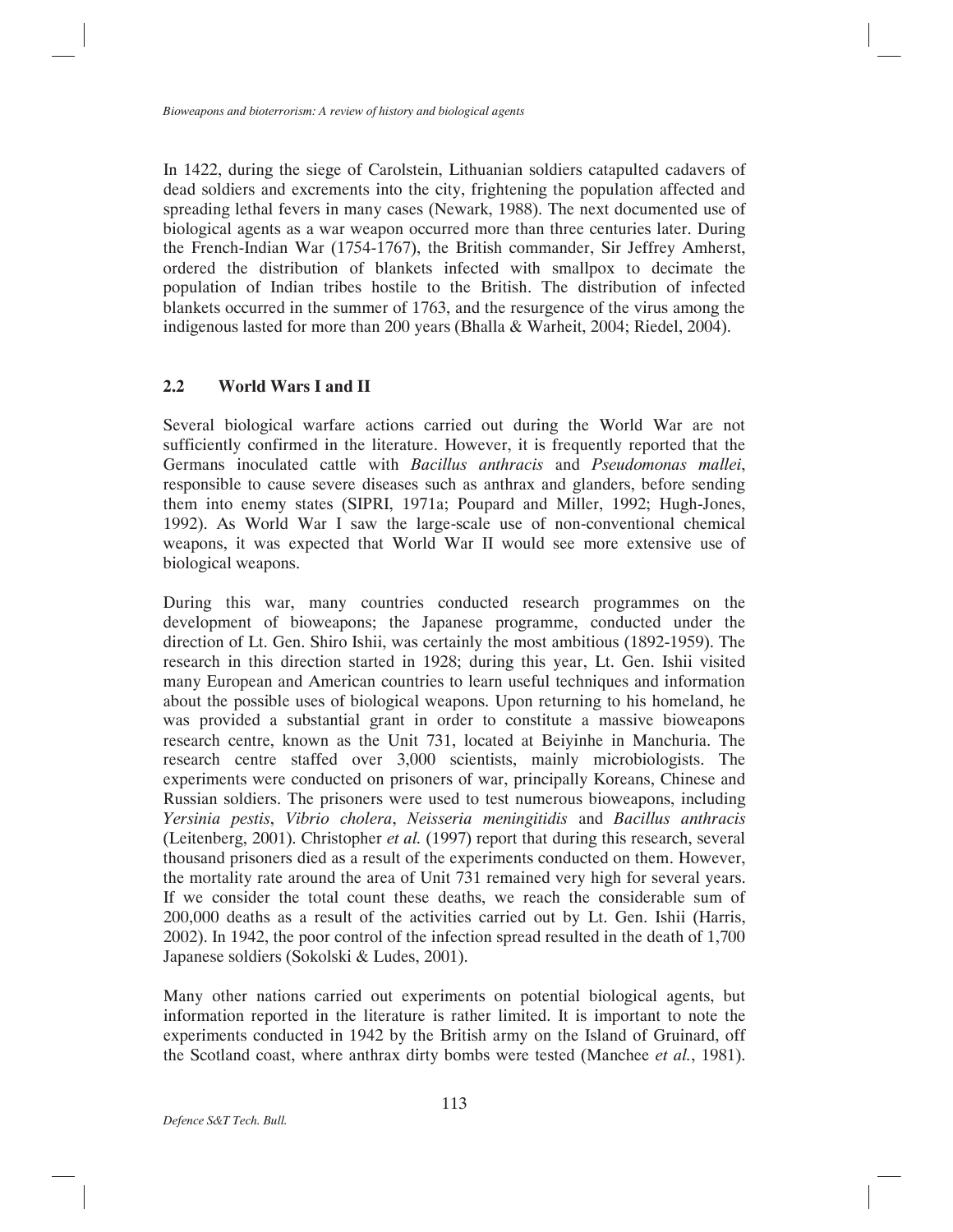In 1422, during the siege of Carolstein, Lithuanian soldiers catapulted cadavers of dead soldiers and excrements into the city, frightening the population affected and spreading lethal fevers in many cases (Newark, 1988). The next documented use of biological agents as a war weapon occurred more than three centuries later. During the French-Indian War (1754-1767), the British commander, Sir Jeffrey Amherst, ordered the distribution of blankets infected with smallpox to decimate the population of Indian tribes hostile to the British. The distribution of infected blankets occurred in the summer of 1763, and the resurgence of the virus among the indigenous lasted for more than 200 years (Bhalla & Warheit, 2004; Riedel, 2004).

# **2.2 World Wars I and II**

Several biological warfare actions carried out during the World War are not sufficiently confirmed in the literature. However, it is frequently reported that the Germans inoculated cattle with *Bacillus anthracis* and *Pseudomonas mallei*, responsible to cause severe diseases such as anthrax and glanders, before sending them into enemy states (SIPRI, 1971a; Poupard and Miller, 1992; Hugh-Jones, 1992). As World War I saw the large-scale use of non-conventional chemical weapons, it was expected that World War II would see more extensive use of biological weapons.

During this war, many countries conducted research programmes on the development of bioweapons; the Japanese programme, conducted under the direction of Lt. Gen. Shiro Ishii, was certainly the most ambitious (1892-1959). The research in this direction started in 1928; during this year, Lt. Gen. Ishii visited many European and American countries to learn useful techniques and information about the possible uses of biological weapons. Upon returning to his homeland, he was provided a substantial grant in order to constitute a massive bioweapons research centre, known as the Unit 731, located at Beiyinhe in Manchuria. The research centre staffed over 3,000 scientists, mainly microbiologists. The experiments were conducted on prisoners of war, principally Koreans, Chinese and Russian soldiers. The prisoners were used to test numerous bioweapons, including *Yersinia pestis*, *Vibrio cholera*, *Neisseria meningitidis* and *Bacillus anthracis* (Leitenberg, 2001). Christopher *et al.* (1997) report that during this research, several thousand prisoners died as a result of the experiments conducted on them. However, the mortality rate around the area of Unit 731 remained very high for several years. If we consider the total count these deaths, we reach the considerable sum of 200,000 deaths as a result of the activities carried out by Lt. Gen. Ishii (Harris, 2002). In 1942, the poor control of the infection spread resulted in the death of 1,700 Japanese soldiers (Sokolski & Ludes, 2001).

Many other nations carried out experiments on potential biological agents, but information reported in the literature is rather limited. It is important to note the experiments conducted in 1942 by the British army on the Island of Gruinard, off the Scotland coast, where anthrax dirty bombs were tested (Manchee *et al.*, 1981).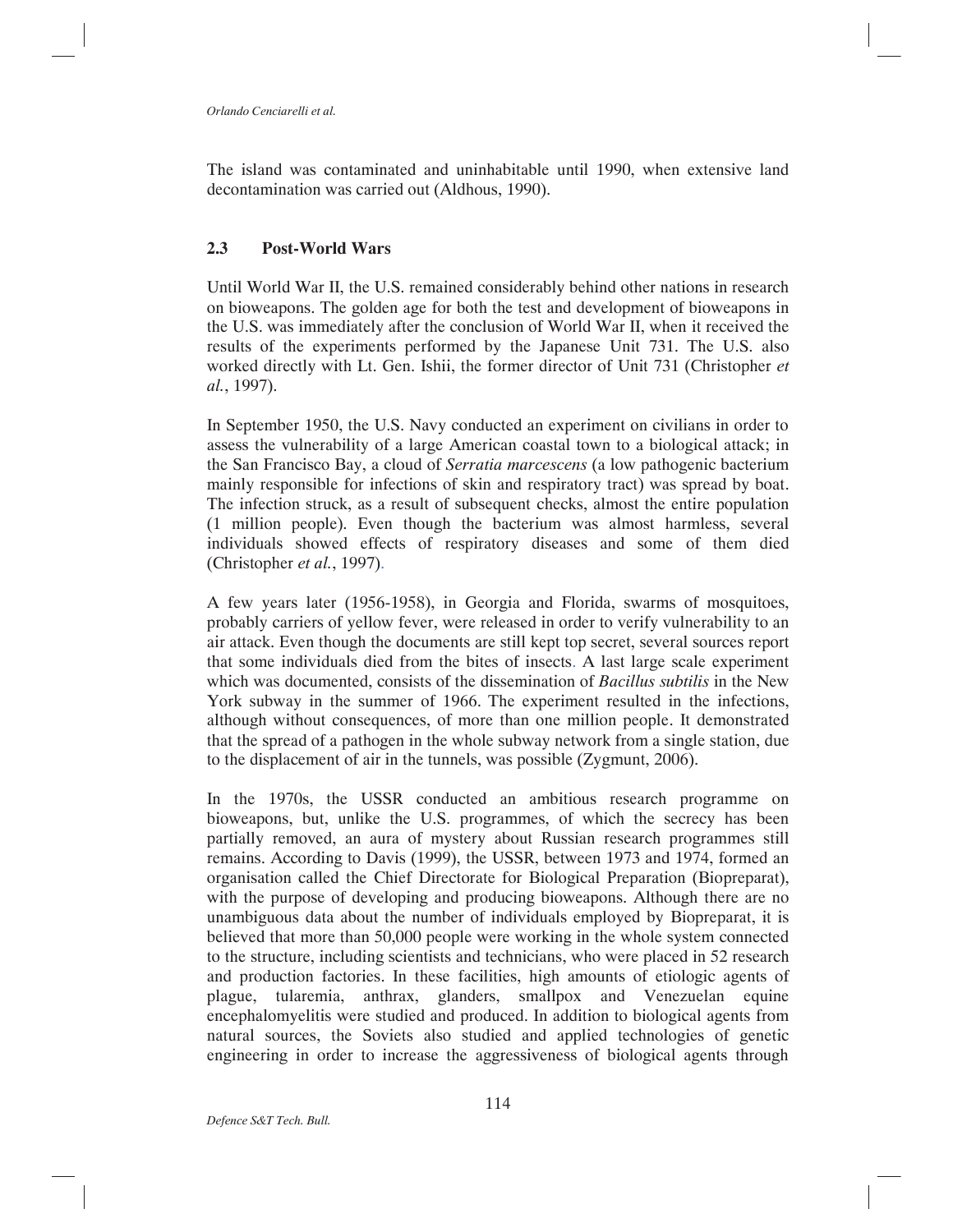The island was contaminated and uninhabitable until 1990, when extensive land decontamination was carried out (Aldhous, 1990).

# **2.3 Post-World Wars**

Until World War II, the U.S. remained considerably behind other nations in research on bioweapons. The golden age for both the test and development of bioweapons in the U.S. was immediately after the conclusion of World War II, when it received the results of the experiments performed by the Japanese Unit 731. The U.S. also worked directly with Lt. Gen. Ishii, the former director of Unit 731 (Christopher *et al.*, 1997).

In September 1950, the U.S. Navy conducted an experiment on civilians in order to assess the vulnerability of a large American coastal town to a biological attack; in the San Francisco Bay, a cloud of *Serratia marcescens* (a low pathogenic bacterium mainly responsible for infections of skin and respiratory tract) was spread by boat. The infection struck, as a result of subsequent checks, almost the entire population (1 million people). Even though the bacterium was almost harmless, several individuals showed effects of respiratory diseases and some of them died (Christopher *et al.*, 1997).

A few years later (1956-1958), in Georgia and Florida, swarms of mosquitoes, probably carriers of yellow fever, were released in order to verify vulnerability to an air attack. Even though the documents are still kept top secret, several sources report that some individuals died from the bites of insects. A last large scale experiment which was documented, consists of the dissemination of *Bacillus subtilis* in the New York subway in the summer of 1966. The experiment resulted in the infections, although without consequences, of more than one million people. It demonstrated that the spread of a pathogen in the whole subway network from a single station, due to the displacement of air in the tunnels, was possible (Zygmunt, 2006).

In the 1970s, the USSR conducted an ambitious research programme on bioweapons, but, unlike the U.S. programmes, of which the secrecy has been partially removed, an aura of mystery about Russian research programmes still remains. According to Davis (1999), the USSR, between 1973 and 1974, formed an organisation called the Chief Directorate for Biological Preparation (Biopreparat), with the purpose of developing and producing bioweapons. Although there are no unambiguous data about the number of individuals employed by Biopreparat, it is believed that more than 50,000 people were working in the whole system connected to the structure, including scientists and technicians, who were placed in 52 research and production factories. In these facilities, high amounts of etiologic agents of plague, tularemia, anthrax, glanders, smallpox and Venezuelan equine encephalomyelitis were studied and produced. In addition to biological agents from natural sources, the Soviets also studied and applied technologies of genetic engineering in order to increase the aggressiveness of biological agents through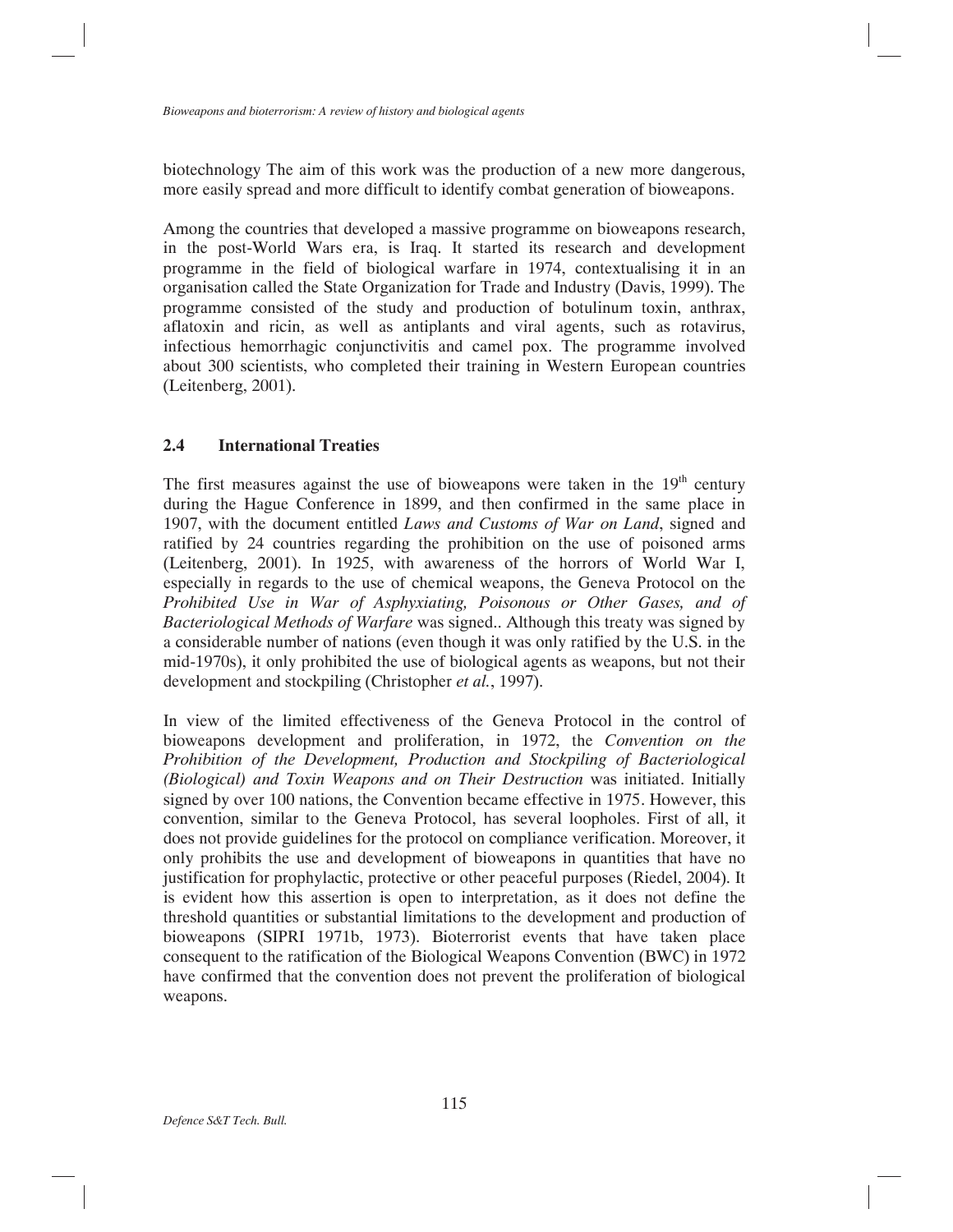biotechnology The aim of this work was the production of a new more dangerous, more easily spread and more difficult to identify combat generation of bioweapons.

Among the countries that developed a massive programme on bioweapons research, in the post-World Wars era, is Iraq. It started its research and development programme in the field of biological warfare in 1974, contextualising it in an organisation called the State Organization for Trade and Industry (Davis, 1999). The programme consisted of the study and production of botulinum toxin, anthrax, aflatoxin and ricin, as well as antiplants and viral agents, such as rotavirus, infectious hemorrhagic conjunctivitis and camel pox. The programme involved about 300 scientists, who completed their training in Western European countries (Leitenberg, 2001).

# **2.4 International Treaties**

The first measures against the use of bioweapons were taken in the  $19<sup>th</sup>$  century during the Hague Conference in 1899, and then confirmed in the same place in 1907, with the document entitled *Laws and Customs of War on Land*, signed and ratified by 24 countries regarding the prohibition on the use of poisoned arms (Leitenberg, 2001). In 1925, with awareness of the horrors of World War I, especially in regards to the use of chemical weapons, the Geneva Protocol on the *Prohibited Use in War of Asphyxiating, Poisonous or Other Gases, and of Bacteriological Methods of Warfare* was signed.. Although this treaty was signed by a considerable number of nations (even though it was only ratified by the U.S. in the mid-1970s), it only prohibited the use of biological agents as weapons, but not their development and stockpiling (Christopher *et al.*, 1997).

In view of the limited effectiveness of the Geneva Protocol in the control of bioweapons development and proliferation, in 1972, the *Convention on the Prohibition of the Development, Production and Stockpiling of Bacteriological (Biological) and Toxin Weapons and on Their Destruction* was initiated. Initially signed by over 100 nations, the Convention became effective in 1975. However, this convention, similar to the Geneva Protocol, has several loopholes. First of all, it does not provide guidelines for the protocol on compliance verification. Moreover, it only prohibits the use and development of bioweapons in quantities that have no justification for prophylactic, protective or other peaceful purposes (Riedel, 2004). It is evident how this assertion is open to interpretation, as it does not define the threshold quantities or substantial limitations to the development and production of bioweapons (SIPRI 1971b, 1973). Bioterrorist events that have taken place consequent to the ratification of the Biological Weapons Convention (BWC) in 1972 have confirmed that the convention does not prevent the proliferation of biological weapons.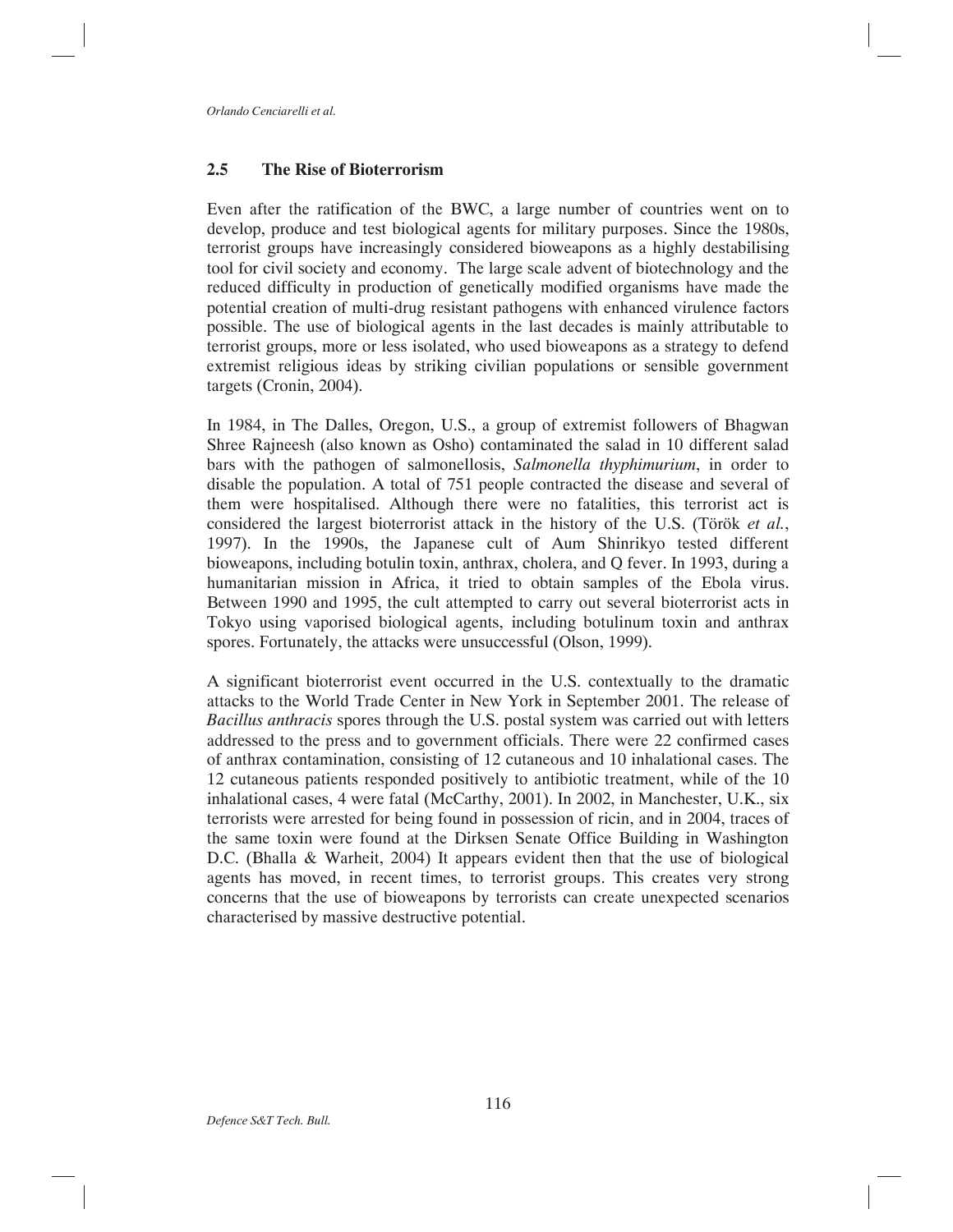# **2.5 The Rise of Bioterrorism**

Even after the ratification of the BWC, a large number of countries went on to develop, produce and test biological agents for military purposes. Since the 1980s, terrorist groups have increasingly considered bioweapons as a highly destabilising tool for civil society and economy. The large scale advent of biotechnology and the reduced difficulty in production of genetically modified organisms have made the potential creation of multi-drug resistant pathogens with enhanced virulence factors possible. The use of biological agents in the last decades is mainly attributable to terrorist groups, more or less isolated, who used bioweapons as a strategy to defend extremist religious ideas by striking civilian populations or sensible government targets (Cronin, 2004).

In 1984, in The Dalles, Oregon, U.S., a group of extremist followers of Bhagwan Shree Rajneesh (also known as Osho) contaminated the salad in 10 different salad bars with the pathogen of salmonellosis, *Salmonella thyphimurium*, in order to disable the population. A total of 751 people contracted the disease and several of them were hospitalised. Although there were no fatalities, this terrorist act is considered the largest bioterrorist attack in the history of the U.S. (Török *et al.*, 1997). In the 1990s, the Japanese cult of Aum Shinrikyo tested different bioweapons, including botulin toxin, anthrax, cholera, and Q fever. In 1993, during a humanitarian mission in Africa, it tried to obtain samples of the Ebola virus. Between 1990 and 1995, the cult attempted to carry out several bioterrorist acts in Tokyo using vaporised biological agents, including botulinum toxin and anthrax spores. Fortunately, the attacks were unsuccessful (Olson, 1999).

A significant bioterrorist event occurred in the U.S. contextually to the dramatic attacks to the World Trade Center in New York in September 2001. The release of *Bacillus anthracis* spores through the U.S. postal system was carried out with letters addressed to the press and to government officials. There were 22 confirmed cases of anthrax contamination, consisting of 12 cutaneous and 10 inhalational cases. The 12 cutaneous patients responded positively to antibiotic treatment, while of the 10 inhalational cases, 4 were fatal (McCarthy, 2001). In 2002, in Manchester, U.K., six terrorists were arrested for being found in possession of ricin, and in 2004, traces of the same toxin were found at the Dirksen Senate Office Building in Washington D.C. (Bhalla & Warheit, 2004) It appears evident then that the use of biological agents has moved, in recent times, to terrorist groups. This creates very strong concerns that the use of bioweapons by terrorists can create unexpected scenarios characterised by massive destructive potential.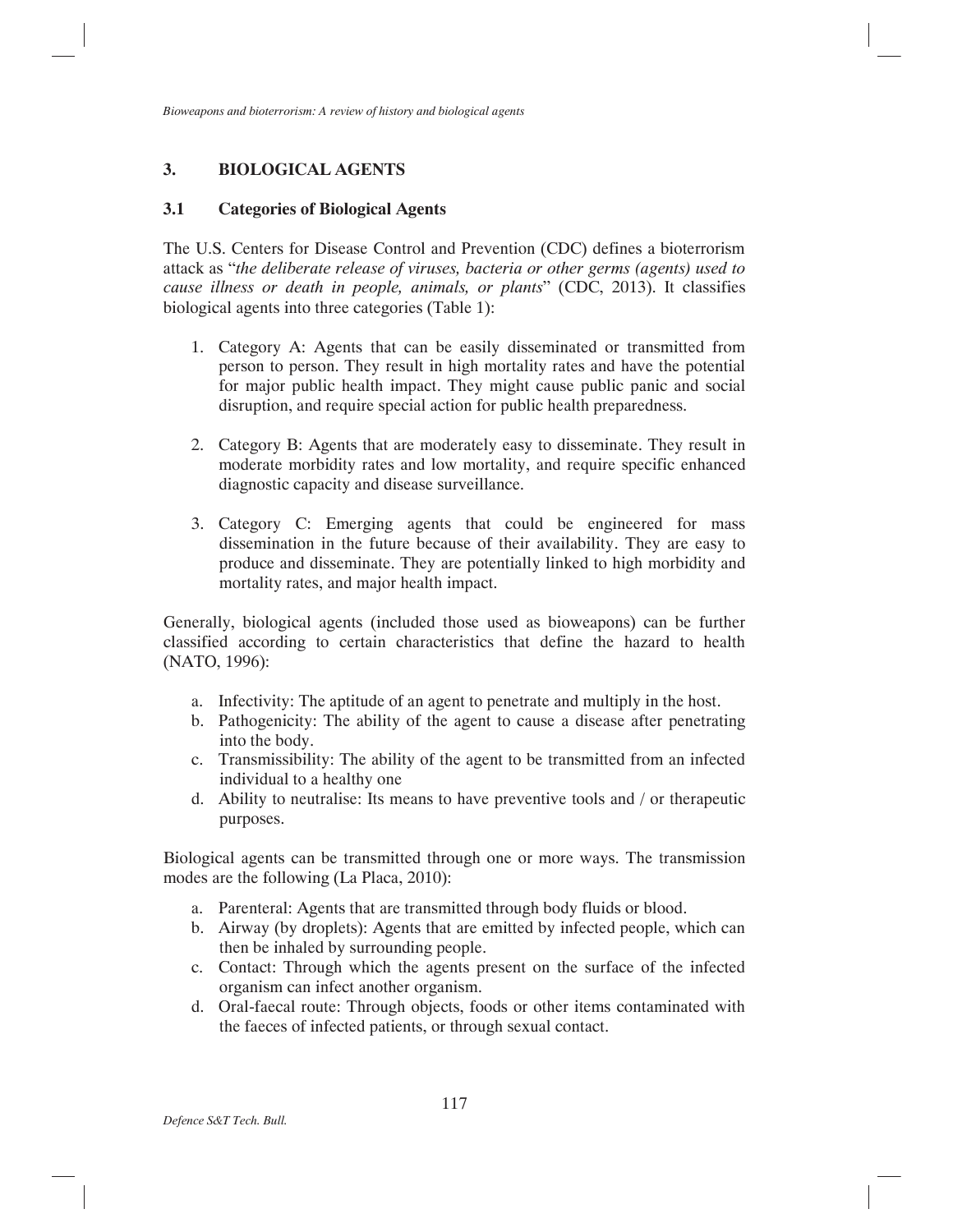# **3. BIOLOGICAL AGENTS**

### **3.1 Categories of Biological Agents**

The U.S. Centers for Disease Control and Prevention (CDC) defines a bioterrorism attack as "*the deliberate release of viruses, bacteria or other germs (agents) used to cause illness or death in people, animals, or plants*" (CDC, 2013). It classifies biological agents into three categories (Table 1):

- 1. Category A: Agents that can be easily disseminated or transmitted from person to person. They result in high mortality rates and have the potential for major public health impact. They might cause public panic and social disruption, and require special action for public health preparedness.
- 2. Category B: Agents that are moderately easy to disseminate. They result in moderate morbidity rates and low mortality, and require specific enhanced diagnostic capacity and disease surveillance.
- 3. Category C: Emerging agents that could be engineered for mass dissemination in the future because of their availability. They are easy to produce and disseminate. They are potentially linked to high morbidity and mortality rates, and major health impact.

Generally, biological agents (included those used as bioweapons) can be further classified according to certain characteristics that define the hazard to health (NATO, 1996):

- a. Infectivity: The aptitude of an agent to penetrate and multiply in the host.
- b. Pathogenicity: The ability of the agent to cause a disease after penetrating into the body.
- c. Transmissibility: The ability of the agent to be transmitted from an infected individual to a healthy one
- d. Ability to neutralise: Its means to have preventive tools and / or therapeutic purposes.

Biological agents can be transmitted through one or more ways. The transmission modes are the following (La Placa, 2010):

- a. Parenteral: Agents that are transmitted through body fluids or blood.
- b. Airway (by droplets): Agents that are emitted by infected people, which can then be inhaled by surrounding people.
- c. Contact: Through which the agents present on the surface of the infected organism can infect another organism.
- d. Oral-faecal route: Through objects, foods or other items contaminated with the faeces of infected patients, or through sexual contact.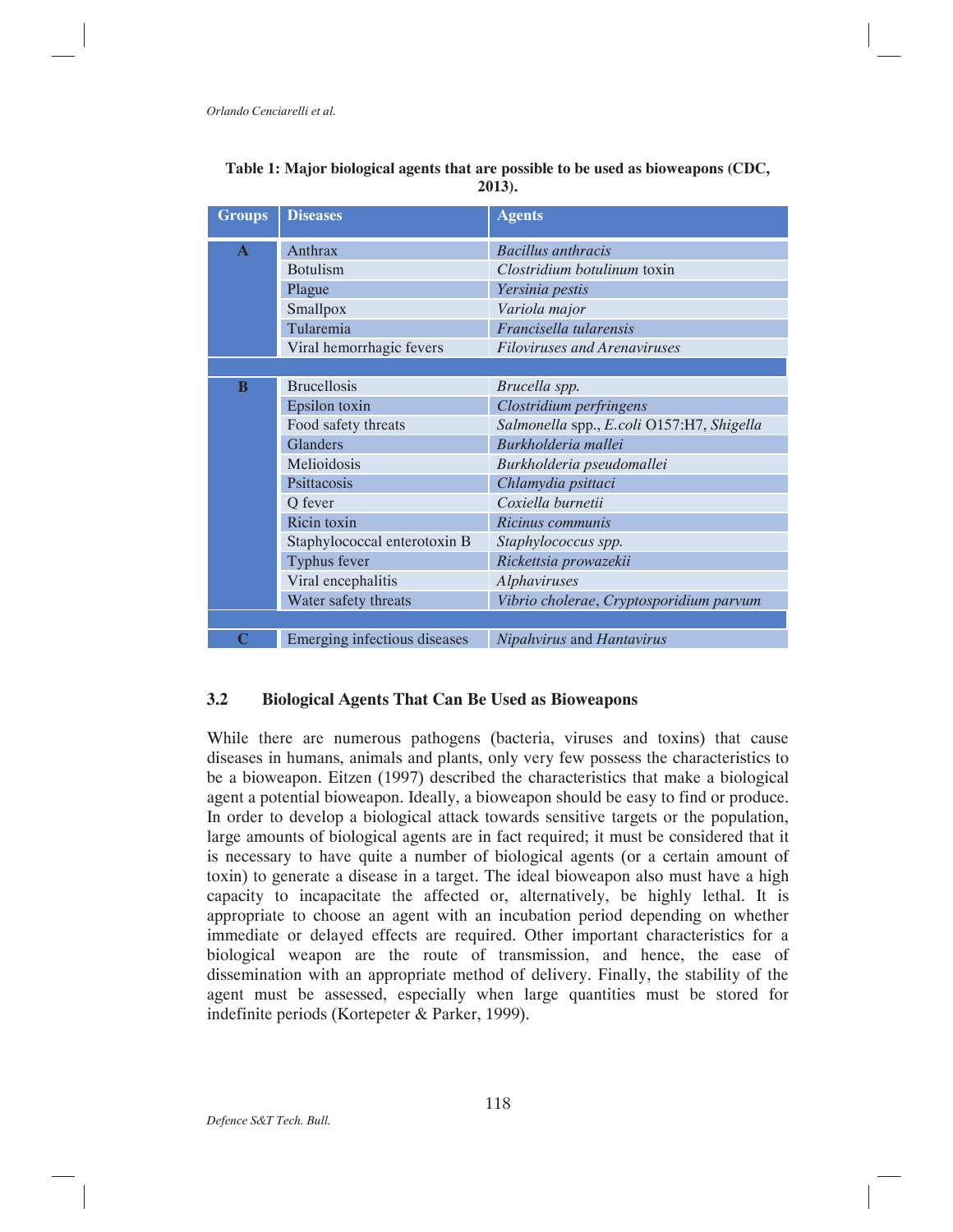| <b>Groups</b> | <b>Diseases</b>              | <b>Agents</b>                             |  |  |  |
|---------------|------------------------------|-------------------------------------------|--|--|--|
| $\mathbf{A}$  | Anthrax                      | <b>Bacillus</b> anthracis                 |  |  |  |
|               | <b>Botulism</b>              | Clostridium botulinum toxin               |  |  |  |
|               | Plague                       | Yersinia pestis                           |  |  |  |
|               | Smallpox                     | Variola major                             |  |  |  |
|               | Tularemia                    | Francisella tularensis                    |  |  |  |
|               | Viral hemorrhagic fevers     | <b>Filoviruses and Arenaviruses</b>       |  |  |  |
|               |                              |                                           |  |  |  |
| B             | <b>Brucellosis</b>           | Brucella spp.                             |  |  |  |
|               | Epsilon toxin                | Clostridium perfringens                   |  |  |  |
|               | Food safety threats          | Salmonella spp., E.coli O157:H7, Shigella |  |  |  |
|               | <b>Glanders</b>              | Burkholderia mallei                       |  |  |  |
|               | Melioidosis                  | Burkholderia pseudomallei                 |  |  |  |
|               | Psittacosis                  | Chlamydia psittaci                        |  |  |  |
|               | Q fever                      | Coxiella burnetii                         |  |  |  |
|               | Ricin toxin                  | Ricinus communis                          |  |  |  |
|               | Staphylococcal enterotoxin B | Staphylococcus spp.                       |  |  |  |
|               | Typhus fever                 | Rickettsia prowazekii                     |  |  |  |
|               | Viral encephalitis           | <b>Alphaviruses</b>                       |  |  |  |
|               | Water safety threats         | Vibrio cholerae, Cryptosporidium parvum   |  |  |  |
|               |                              |                                           |  |  |  |
|               | Emerging infectious diseases | Nipahvirus and Hantavirus                 |  |  |  |

| Table 1: Major biological agents that are possible to be used as bioweapons (CDC, |  |        |  |  |  |
|-----------------------------------------------------------------------------------|--|--------|--|--|--|
|                                                                                   |  | 2013). |  |  |  |

# **3.2 Biological Agents That Can Be Used as Bioweapons**

While there are numerous pathogens (bacteria, viruses and toxins) that cause diseases in humans, animals and plants, only very few possess the characteristics to be a bioweapon. Eitzen (1997) described the characteristics that make a biological agent a potential bioweapon. Ideally, a bioweapon should be easy to find or produce. In order to develop a biological attack towards sensitive targets or the population, large amounts of biological agents are in fact required; it must be considered that it is necessary to have quite a number of biological agents (or a certain amount of toxin) to generate a disease in a target. The ideal bioweapon also must have a high capacity to incapacitate the affected or, alternatively, be highly lethal. It is appropriate to choose an agent with an incubation period depending on whether immediate or delayed effects are required. Other important characteristics for a biological weapon are the route of transmission, and hence, the ease of dissemination with an appropriate method of delivery. Finally, the stability of the agent must be assessed, especially when large quantities must be stored for indefinite periods (Kortepeter & Parker, 1999).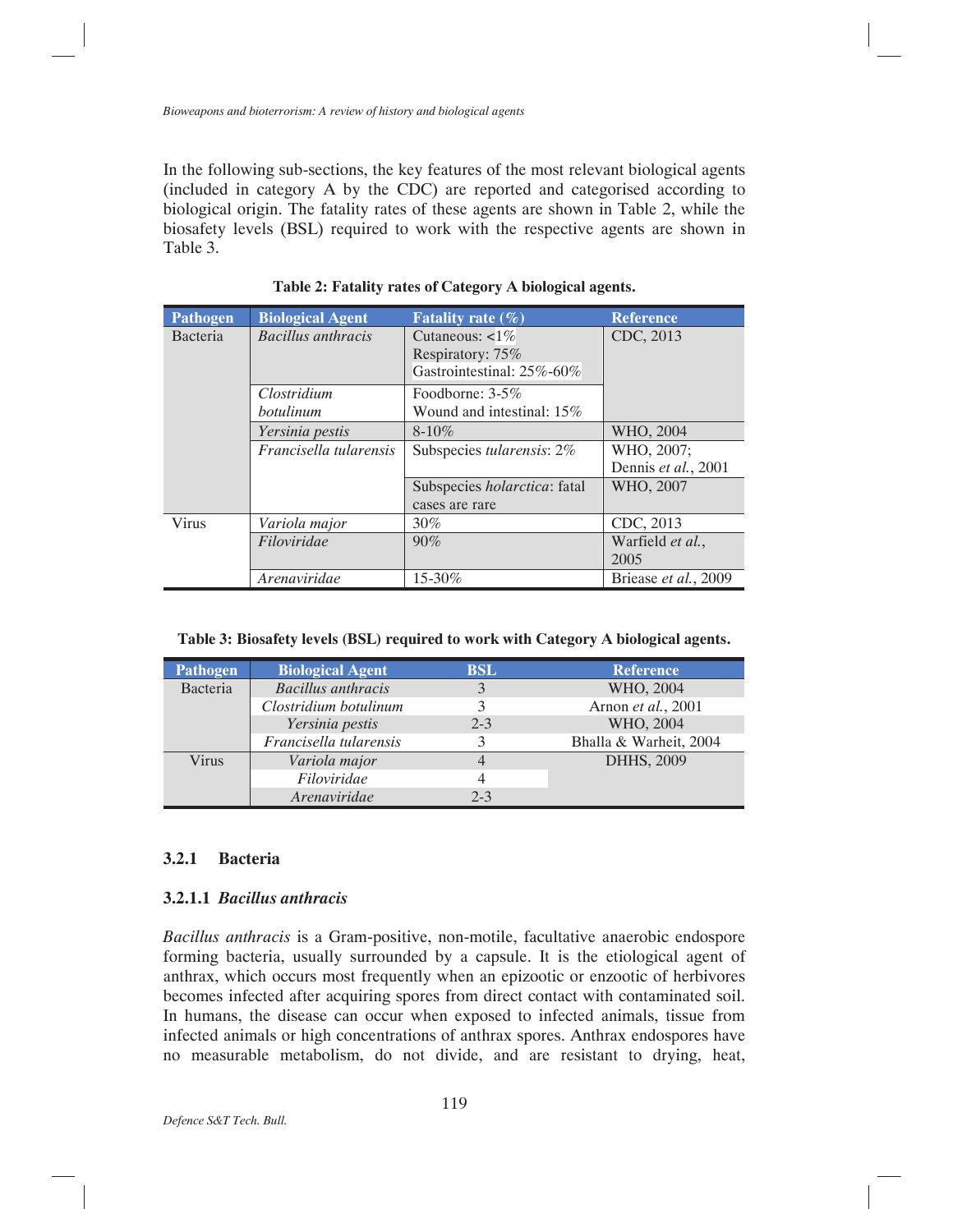In the following sub-sections, the key features of the most relevant biological agents (included in category A by the CDC) are reported and categorised according to biological origin. The fatality rates of these agents are shown in Table 2, while the biosafety levels (BSL) required to work with the respective agents are shown in Table 3.

| <b>Pathogen</b> | <b>Biological Agent</b>   | Fatality rate $(\% )$        | <b>Reference</b>     |
|-----------------|---------------------------|------------------------------|----------------------|
| Bacteria        | <b>Bacillus</b> anthracis | Cutaneous: $\lt 1\%$         | CDC, 2013            |
|                 |                           | Respiratory: 75%             |                      |
|                 |                           | Gastrointestinal: 25%-60%    |                      |
|                 | Clostridium               | Foodborne: $3-5\%$           |                      |
|                 | botulinum                 | Wound and intestinal: 15%    |                      |
|                 | Yersinia pestis           | $8 - 10\%$                   | WHO, 2004            |
|                 | Francisella tularensis    | Subspecies tularensis: 2%    | WHO, 2007:           |
|                 |                           |                              | Dennis et al., 2001  |
|                 |                           | Subspecies holarctica: fatal | WHO, 2007            |
|                 |                           | cases are rare               |                      |
| <b>Virus</b>    | Variola major             | 30%                          | CDC, 2013            |
|                 | Filoviridae               | 90%                          | Warfield et al.,     |
|                 |                           |                              | 2005                 |
|                 | Arenaviridae              | 15-30%                       | Briease et al., 2009 |

**Table 2: Fatality rates of Category A biological agents.** 

|  |  |  | Table 3: Biosafety levels (BSL) required to work with Category A biological agents. |  |
|--|--|--|-------------------------------------------------------------------------------------|--|
|  |  |  |                                                                                     |  |

| Pathogen | <b>Biological Agent</b>   | <b>BSL</b> | <b>Reference</b>       |
|----------|---------------------------|------------|------------------------|
| Bacteria | <b>Bacillus</b> anthracis | 3          | WHO, 2004              |
|          | Clostridium botulinum     |            | Arnon et al., 2001     |
|          | Yersinia pestis           | $2 - 3$    | WHO, 2004              |
|          | Francisella tularensis    |            | Bhalla & Warheit, 2004 |
| Virus    | Variola major             |            | DHHS, 2009             |
|          | Filoviridae               | 4          |                        |
|          | Arenaviridae              | $2 - 3$    |                        |

### **3.2.1 Bacteria**

### **3.2.1.1** *Bacillus anthracis*

*Bacillus anthracis* is a Gram-positive, non-motile, facultative anaerobic endospore forming bacteria, usually surrounded by a capsule. It is the etiological agent of anthrax, which occurs most frequently when an epizootic or enzootic of herbivores becomes infected after acquiring spores from direct contact with contaminated soil. In humans, the disease can occur when exposed to infected animals, tissue from infected animals or high concentrations of anthrax spores. Anthrax endospores have no measurable metabolism, do not divide, and are resistant to drying, heat,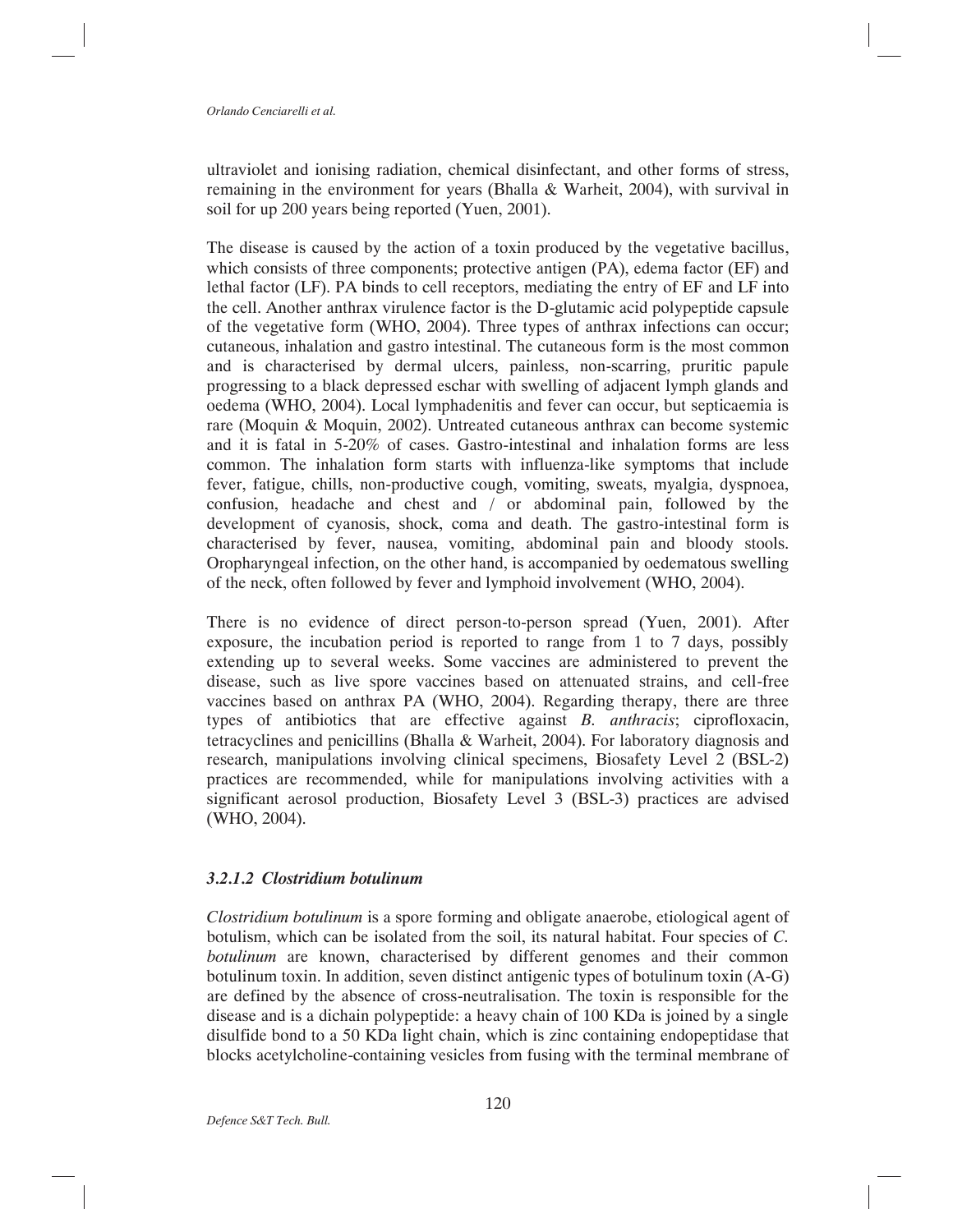ultraviolet and ionising radiation, chemical disinfectant, and other forms of stress, remaining in the environment for years (Bhalla & Warheit, 2004), with survival in soil for up 200 years being reported (Yuen, 2001).

The disease is caused by the action of a toxin produced by the vegetative bacillus, which consists of three components; protective antigen (PA), edema factor (EF) and lethal factor (LF). PA binds to cell receptors, mediating the entry of EF and LF into the cell. Another anthrax virulence factor is the D-glutamic acid polypeptide capsule of the vegetative form (WHO, 2004). Three types of anthrax infections can occur; cutaneous, inhalation and gastro intestinal. The cutaneous form is the most common and is characterised by dermal ulcers, painless, non-scarring, pruritic papule progressing to a black depressed eschar with swelling of adjacent lymph glands and oedema (WHO, 2004). Local lymphadenitis and fever can occur, but septicaemia is rare (Moquin & Moquin, 2002). Untreated cutaneous anthrax can become systemic and it is fatal in 5-20% of cases. Gastro-intestinal and inhalation forms are less common. The inhalation form starts with influenza-like symptoms that include fever, fatigue, chills, non-productive cough, vomiting, sweats, myalgia, dyspnoea, confusion, headache and chest and / or abdominal pain, followed by the development of cyanosis, shock, coma and death. The gastro-intestinal form is characterised by fever, nausea, vomiting, abdominal pain and bloody stools. Oropharyngeal infection, on the other hand, is accompanied by oedematous swelling of the neck, often followed by fever and lymphoid involvement (WHO, 2004).

There is no evidence of direct person-to-person spread (Yuen, 2001). After exposure, the incubation period is reported to range from 1 to 7 days, possibly extending up to several weeks. Some vaccines are administered to prevent the disease, such as live spore vaccines based on attenuated strains, and cell-free vaccines based on anthrax PA (WHO, 2004). Regarding therapy, there are three types of antibiotics that are effective against *B. anthracis*; ciprofloxacin, tetracyclines and penicillins (Bhalla & Warheit, 2004). For laboratory diagnosis and research, manipulations involving clinical specimens, Biosafety Level 2 (BSL-2) practices are recommended, while for manipulations involving activities with a significant aerosol production, Biosafety Level 3 (BSL-3) practices are advised (WHO, 2004).

### *3.2.1.2 Clostridium botulinum*

*Clostridium botulinum* is a spore forming and obligate anaerobe, etiological agent of botulism, which can be isolated from the soil, its natural habitat. Four species of *C. botulinum* are known, characterised by different genomes and their common botulinum toxin. In addition, seven distinct antigenic types of botulinum toxin (A-G) are defined by the absence of cross-neutralisation. The toxin is responsible for the disease and is a dichain polypeptide: a heavy chain of 100 KDa is joined by a single disulfide bond to a 50 KDa light chain, which is zinc containing endopeptidase that blocks acetylcholine-containing vesicles from fusing with the terminal membrane of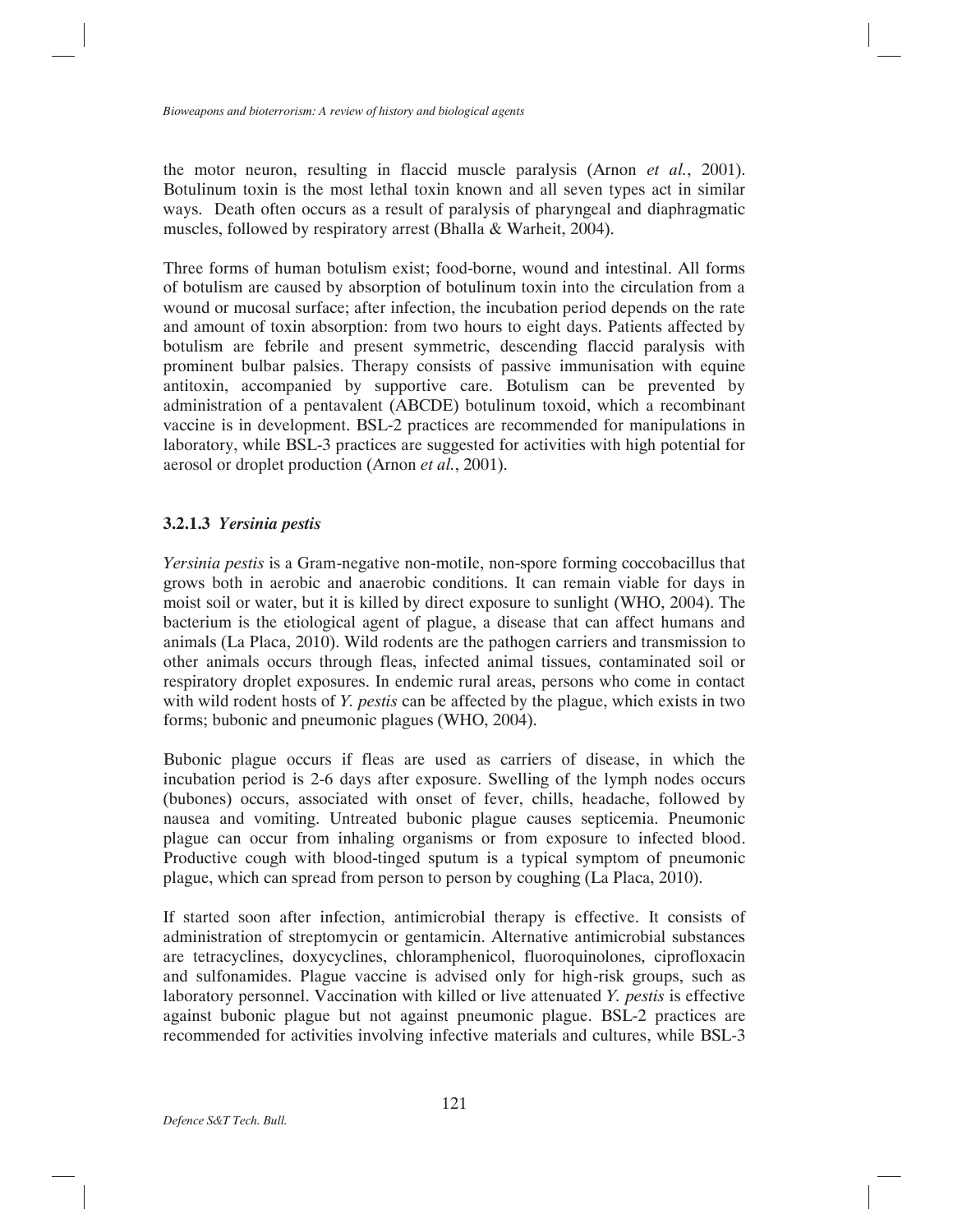the motor neuron, resulting in flaccid muscle paralysis (Arnon *et al.*, 2001). Botulinum toxin is the most lethal toxin known and all seven types act in similar ways. Death often occurs as a result of paralysis of pharyngeal and diaphragmatic muscles, followed by respiratory arrest (Bhalla & Warheit, 2004).

Three forms of human botulism exist; food-borne, wound and intestinal. All forms of botulism are caused by absorption of botulinum toxin into the circulation from a wound or mucosal surface; after infection, the incubation period depends on the rate and amount of toxin absorption: from two hours to eight days. Patients affected by botulism are febrile and present symmetric, descending flaccid paralysis with prominent bulbar palsies. Therapy consists of passive immunisation with equine antitoxin, accompanied by supportive care. Botulism can be prevented by administration of a pentavalent (ABCDE) botulinum toxoid, which a recombinant vaccine is in development. BSL-2 practices are recommended for manipulations in laboratory, while BSL-3 practices are suggested for activities with high potential for aerosol or droplet production (Arnon *et al.*, 2001).

### **3.2.1.3** *Yersinia pestis*

*Yersinia pestis* is a Gram-negative non-motile, non-spore forming coccobacillus that grows both in aerobic and anaerobic conditions. It can remain viable for days in moist soil or water, but it is killed by direct exposure to sunlight (WHO, 2004). The bacterium is the etiological agent of plague, a disease that can affect humans and animals (La Placa, 2010). Wild rodents are the pathogen carriers and transmission to other animals occurs through fleas, infected animal tissues, contaminated soil or respiratory droplet exposures. In endemic rural areas, persons who come in contact with wild rodent hosts of *Y. pestis* can be affected by the plague, which exists in two forms; bubonic and pneumonic plagues (WHO, 2004).

Bubonic plague occurs if fleas are used as carriers of disease, in which the incubation period is 2-6 days after exposure. Swelling of the lymph nodes occurs (bubones) occurs, associated with onset of fever, chills, headache, followed by nausea and vomiting. Untreated bubonic plague causes septicemia. Pneumonic plague can occur from inhaling organisms or from exposure to infected blood. Productive cough with blood-tinged sputum is a typical symptom of pneumonic plague, which can spread from person to person by coughing (La Placa, 2010).

If started soon after infection, antimicrobial therapy is effective. It consists of administration of streptomycin or gentamicin. Alternative antimicrobial substances are tetracyclines, doxycyclines, chloramphenicol, fluoroquinolones, ciprofloxacin and sulfonamides. Plague vaccine is advised only for high-risk groups, such as laboratory personnel. Vaccination with killed or live attenuated *Y. pestis* is effective against bubonic plague but not against pneumonic plague. BSL-2 practices are recommended for activities involving infective materials and cultures, while BSL-3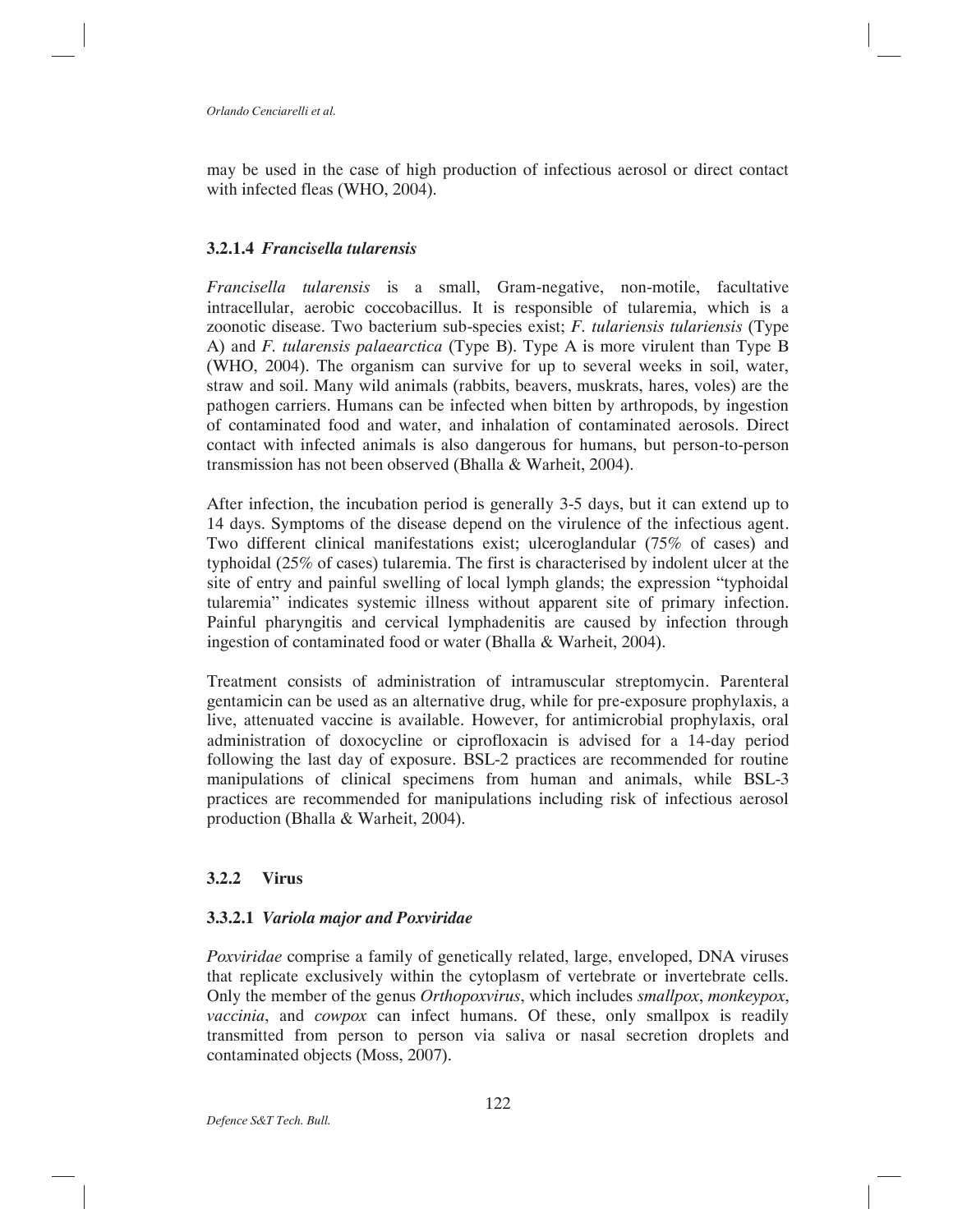may be used in the case of high production of infectious aerosol or direct contact with infected fleas (WHO, 2004).

### **3.2.1.4** *Francisella tularensis*

*Francisella tularensis* is a small, Gram-negative, non-motile, facultative intracellular, aerobic coccobacillus. It is responsible of tularemia, which is a zoonotic disease. Two bacterium sub-species exist; *F. tulariensis tulariensis* (Type A) and *F. tularensis palaearctica* (Type B). Type A is more virulent than Type B (WHO, 2004). The organism can survive for up to several weeks in soil, water, straw and soil. Many wild animals (rabbits, beavers, muskrats, hares, voles) are the pathogen carriers. Humans can be infected when bitten by arthropods, by ingestion of contaminated food and water, and inhalation of contaminated aerosols. Direct contact with infected animals is also dangerous for humans, but person-to-person transmission has not been observed (Bhalla & Warheit, 2004).

After infection, the incubation period is generally 3-5 days, but it can extend up to 14 days. Symptoms of the disease depend on the virulence of the infectious agent. Two different clinical manifestations exist; ulceroglandular (75% of cases) and typhoidal (25% of cases) tularemia. The first is characterised by indolent ulcer at the site of entry and painful swelling of local lymph glands; the expression "typhoidal tularemia" indicates systemic illness without apparent site of primary infection. Painful pharyngitis and cervical lymphadenitis are caused by infection through ingestion of contaminated food or water (Bhalla & Warheit, 2004).

Treatment consists of administration of intramuscular streptomycin. Parenteral gentamicin can be used as an alternative drug, while for pre-exposure prophylaxis, a live, attenuated vaccine is available. However, for antimicrobial prophylaxis, oral administration of doxocycline or ciprofloxacin is advised for a 14-day period following the last day of exposure. BSL-2 practices are recommended for routine manipulations of clinical specimens from human and animals, while BSL-3 practices are recommended for manipulations including risk of infectious aerosol production (Bhalla & Warheit, 2004).

### **3.2.2 Virus**

### **3.3.2.1** *Variola major and Poxviridae*

*Poxviridae* comprise a family of genetically related, large, enveloped, DNA viruses that replicate exclusively within the cytoplasm of vertebrate or invertebrate cells. Only the member of the genus *Orthopoxvirus*, which includes *smallpox*, *monkeypox*, *vaccinia*, and *cowpox* can infect humans. Of these, only smallpox is readily transmitted from person to person via saliva or nasal secretion droplets and contaminated objects (Moss, 2007).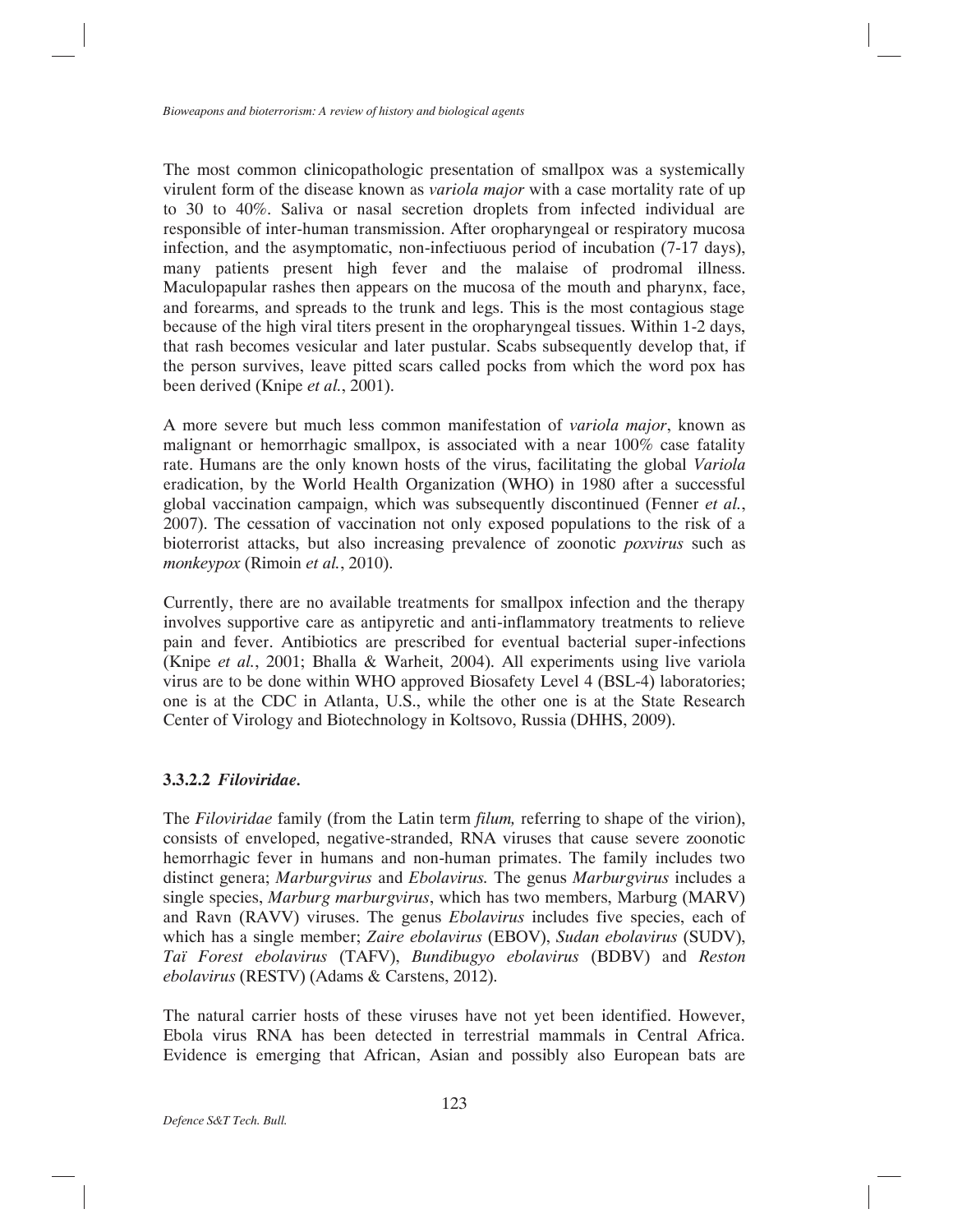The most common clinicopathologic presentation of smallpox was a systemically virulent form of the disease known as *variola major* with a case mortality rate of up to 30 to 40%. Saliva or nasal secretion droplets from infected individual are responsible of inter-human transmission. After oropharyngeal or respiratory mucosa infection, and the asymptomatic, non-infectiuous period of incubation (7-17 days), many patients present high fever and the malaise of prodromal illness. Maculopapular rashes then appears on the mucosa of the mouth and pharynx, face, and forearms, and spreads to the trunk and legs. This is the most contagious stage because of the high viral titers present in the oropharyngeal tissues. Within 1-2 days, that rash becomes vesicular and later pustular. Scabs subsequently develop that, if the person survives, leave pitted scars called pocks from which the word pox has been derived (Knipe *et al.*, 2001).

A more severe but much less common manifestation of *variola major*, known as malignant or hemorrhagic smallpox, is associated with a near 100% case fatality rate. Humans are the only known hosts of the virus, facilitating the global *Variola* eradication, by the World Health Organization (WHO) in 1980 after a successful global vaccination campaign, which was subsequently discontinued (Fenner *et al.*, 2007). The cessation of vaccination not only exposed populations to the risk of a bioterrorist attacks, but also increasing prevalence of zoonotic *poxvirus* such as *monkeypox* (Rimoin *et al.*, 2010).

Currently, there are no available treatments for smallpox infection and the therapy involves supportive care as antipyretic and anti-inflammatory treatments to relieve pain and fever. Antibiotics are prescribed for eventual bacterial super-infections (Knipe *et al.*, 2001; Bhalla & Warheit, 2004). All experiments using live variola virus are to be done within WHO approved Biosafety Level 4 (BSL-4) laboratories; one is at the CDC in Atlanta, U.S., while the other one is at the State Research Center of Virology and Biotechnology in Koltsovo, Russia (DHHS, 2009).

# **3.3.2.2** *Filoviridae.*

The *Filoviridae* family (from the Latin term *filum,* referring to shape of the virion), consists of enveloped, negative-stranded, RNA viruses that cause severe zoonotic hemorrhagic fever in humans and non-human primates. The family includes two distinct genera; *Marburgvirus* and *Ebolavirus.* The genus *Marburgvirus* includes a single species, *Marburg marburgvirus*, which has two members, Marburg (MARV) and Ravn (RAVV) viruses. The genus *Ebolavirus* includes five species, each of which has a single member; *Zaire ebolavirus* (EBOV), *Sudan ebolavirus* (SUDV), *Taï Forest ebolavirus* (TAFV), *Bundibugyo ebolavirus* (BDBV) and *Reston ebolavirus* (RESTV) (Adams & Carstens, 2012).

The natural carrier hosts of these viruses have not yet been identified. However, Ebola virus RNA has been detected in terrestrial mammals in Central Africa. Evidence is emerging that African, Asian and possibly also European bats are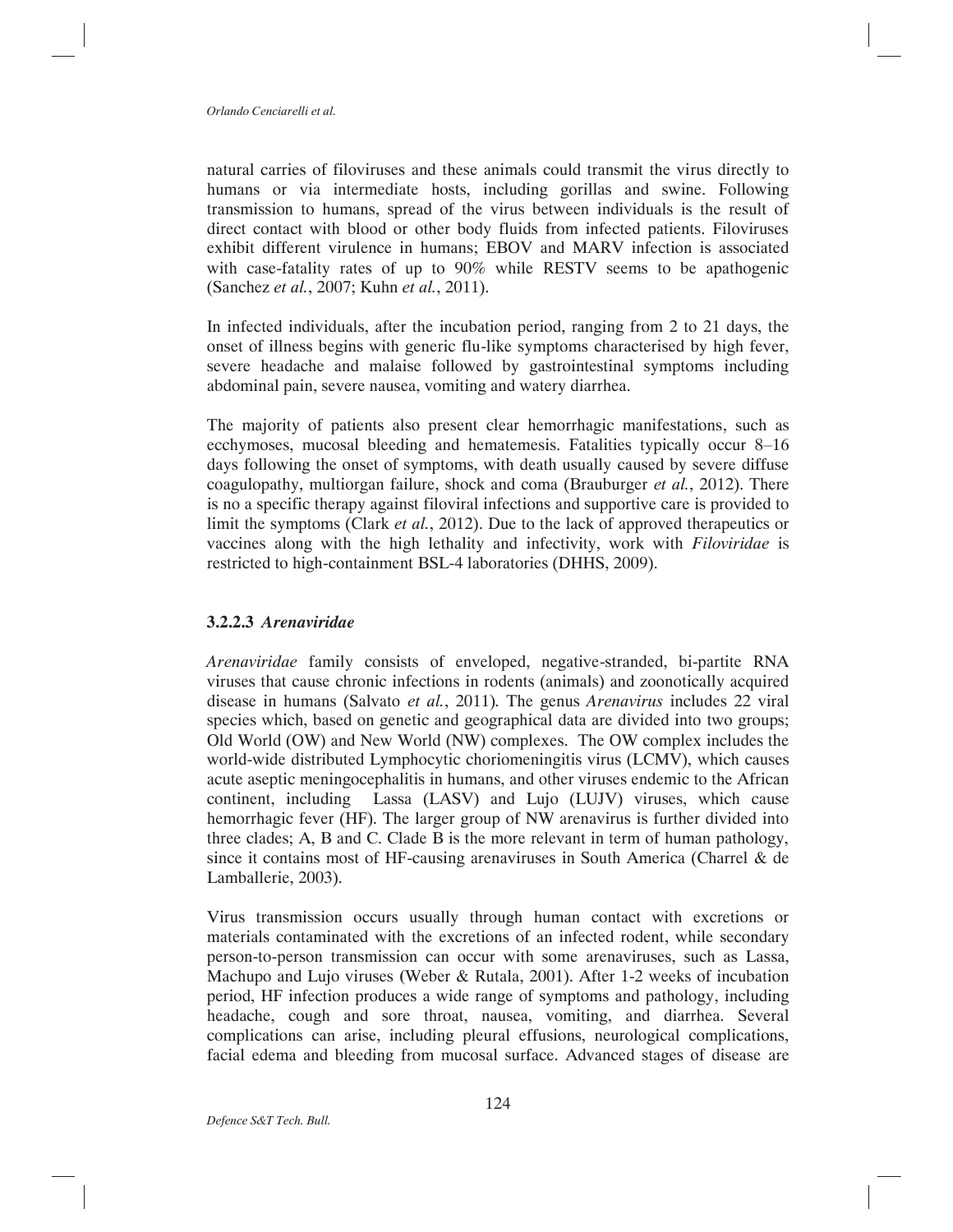natural carries of filoviruses and these animals could transmit the virus directly to humans or via intermediate hosts, including gorillas and swine. Following transmission to humans, spread of the virus between individuals is the result of direct contact with blood or other body fluids from infected patients. Filoviruses exhibit different virulence in humans; EBOV and MARV infection is associated with case-fatality rates of up to 90% while RESTV seems to be apathogenic (Sanchez *et al.*, 2007; Kuhn *et al.*, 2011).

In infected individuals, after the incubation period, ranging from 2 to 21 days, the onset of illness begins with generic flu-like symptoms characterised by high fever, severe headache and malaise followed by gastrointestinal symptoms including abdominal pain, severe nausea, vomiting and watery diarrhea.

The majority of patients also present clear hemorrhagic manifestations, such as ecchymoses, mucosal bleeding and hematemesis. Fatalities typically occur 8–16 days following the onset of symptoms, with death usually caused by severe diffuse coagulopathy, multiorgan failure, shock and coma (Brauburger *et al.*, 2012). There is no a specific therapy against filoviral infections and supportive care is provided to limit the symptoms (Clark *et al.*, 2012). Due to the lack of approved therapeutics or vaccines along with the high lethality and infectivity, work with *Filoviridae* is restricted to high-containment BSL-4 laboratories (DHHS, 2009).

### **3.2.2.3** *Arenaviridae*

*Arenaviridae* family consists of enveloped, negative-stranded, bi-partite RNA viruses that cause chronic infections in rodents (animals) and zoonotically acquired disease in humans (Salvato *et al.*, 2011)*.* The genus *Arenavirus* includes 22 viral species which, based on genetic and geographical data are divided into two groups; Old World (OW) and New World (NW) complexes. The OW complex includes the world-wide distributed Lymphocytic choriomeningitis virus (LCMV), which causes acute aseptic meningocephalitis in humans, and other viruses endemic to the African continent, including Lassa (LASV) and Lujo (LUJV) viruses, which cause hemorrhagic fever (HF). The larger group of NW arenavirus is further divided into three clades; A, B and C. Clade B is the more relevant in term of human pathology, since it contains most of HF-causing arenaviruses in South America (Charrel & de Lamballerie, 2003).

Virus transmission occurs usually through human contact with excretions or materials contaminated with the excretions of an infected rodent, while secondary person-to-person transmission can occur with some arenaviruses, such as Lassa, Machupo and Lujo viruses **(**Weber & Rutala, 2001). After 1-2 weeks of incubation period, HF infection produces a wide range of symptoms and pathology, including headache, cough and sore throat, nausea, vomiting, and diarrhea. Several complications can arise, including pleural effusions, neurological complications, facial edema and bleeding from mucosal surface. Advanced stages of disease are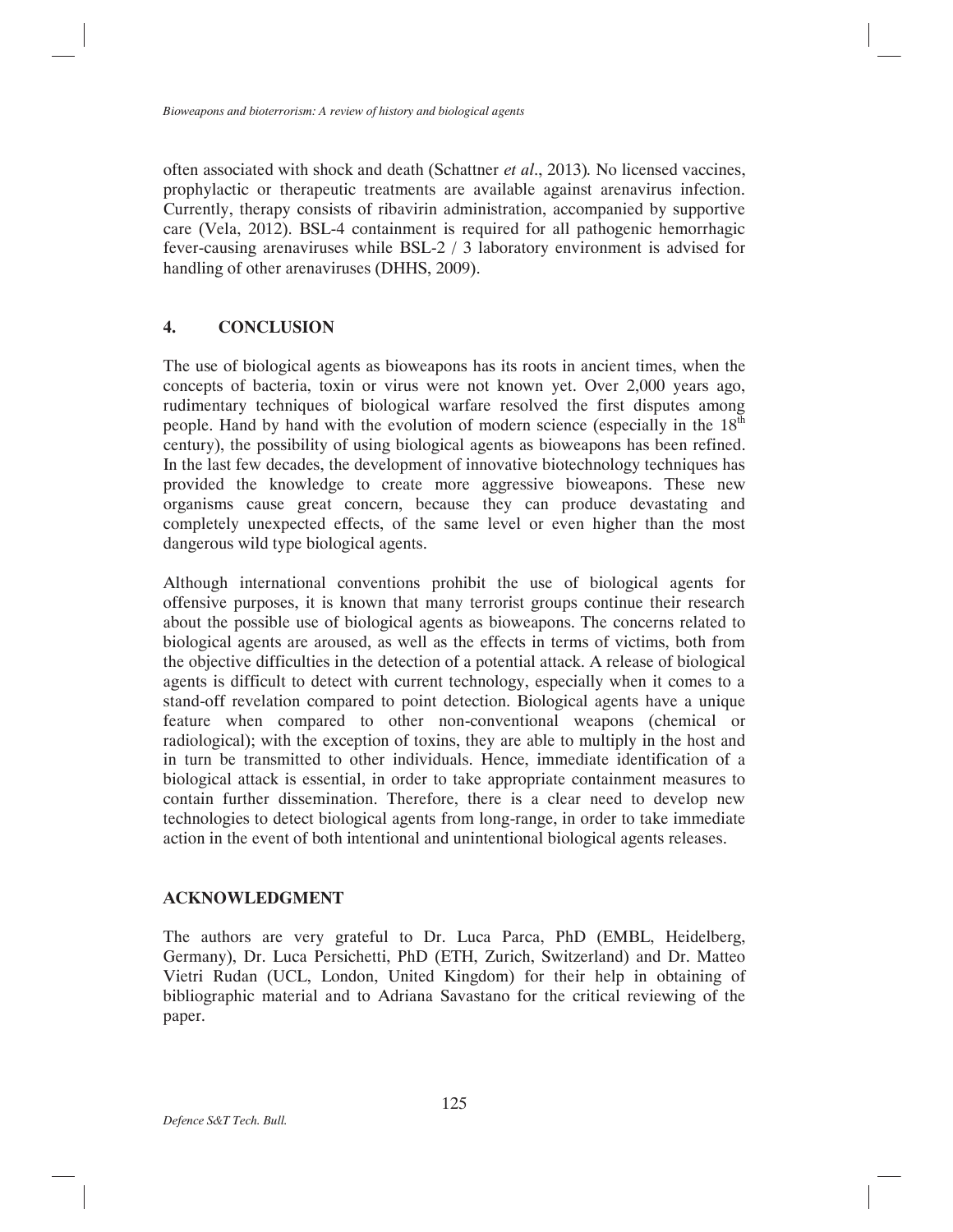often associated with shock and death (Schattner *et al*., 2013)*.* No licensed vaccines, prophylactic or therapeutic treatments are available against arenavirus infection. Currently, therapy consists of ribavirin administration, accompanied by supportive care (Vela, 2012). BSL-4 containment is required for all pathogenic hemorrhagic fever-causing arenaviruses while BSL-2 / 3 laboratory environment is advised for handling of other arenaviruses (DHHS, 2009).

# **4. CONCLUSION**

The use of biological agents as bioweapons has its roots in ancient times, when the concepts of bacteria, toxin or virus were not known yet. Over 2,000 years ago, rudimentary techniques of biological warfare resolved the first disputes among people. Hand by hand with the evolution of modern science (especially in the  $18<sup>th</sup>$ century), the possibility of using biological agents as bioweapons has been refined. In the last few decades, the development of innovative biotechnology techniques has provided the knowledge to create more aggressive bioweapons. These new organisms cause great concern, because they can produce devastating and completely unexpected effects, of the same level or even higher than the most dangerous wild type biological agents.

Although international conventions prohibit the use of biological agents for offensive purposes, it is known that many terrorist groups continue their research about the possible use of biological agents as bioweapons. The concerns related to biological agents are aroused, as well as the effects in terms of victims, both from the objective difficulties in the detection of a potential attack. A release of biological agents is difficult to detect with current technology, especially when it comes to a stand-off revelation compared to point detection. Biological agents have a unique feature when compared to other non-conventional weapons (chemical or radiological); with the exception of toxins, they are able to multiply in the host and in turn be transmitted to other individuals. Hence, immediate identification of a biological attack is essential, in order to take appropriate containment measures to contain further dissemination. Therefore, there is a clear need to develop new technologies to detect biological agents from long-range, in order to take immediate action in the event of both intentional and unintentional biological agents releases.

### **ACKNOWLEDGMENT**

The authors are very grateful to Dr. Luca Parca, PhD (EMBL, Heidelberg, Germany), Dr. Luca Persichetti, PhD (ETH, Zurich, Switzerland) and Dr. Matteo Vietri Rudan (UCL, London, United Kingdom) for their help in obtaining of bibliographic material and to Adriana Savastano for the critical reviewing of the paper.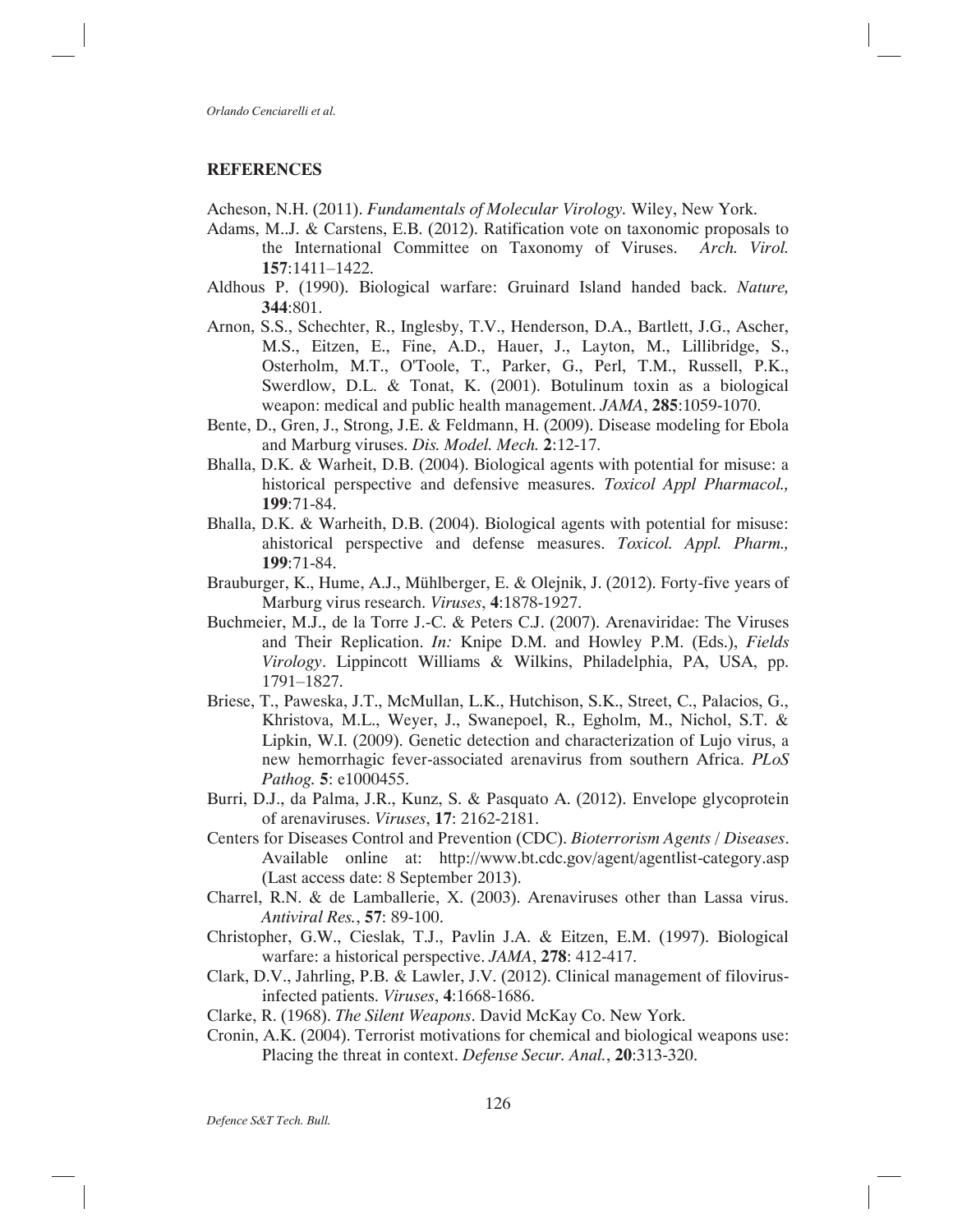### **REFERENCES**

Acheson, N.H. (2011). *Fundamentals of Molecular Virology.* Wiley, New York.

- Adams, M..J. & Carstens, E.B. (2012). Ratification vote on taxonomic proposals to the International Committee on Taxonomy of Viruses. *Arch. Virol.* **157**:1411–1422.
- Aldhous P. (1990). Biological warfare: Gruinard Island handed back. *Nature,*  **344**:801.
- Arnon, S.S., Schechter, R., Inglesby, T.V., Henderson, D.A., Bartlett, J.G., Ascher, M.S., Eitzen, E., Fine, A.D., Hauer, J., Layton, M., Lillibridge, S., Osterholm, M.T., O'Toole, T., Parker, G., Perl, T.M., Russell, P.K., Swerdlow, D.L. & Tonat, K. (2001). Botulinum toxin as a biological weapon: medical and public health management. *JAMA*, **285**:1059-1070.
- Bente, D., Gren, J., Strong, J.E. & Feldmann, H. (2009). Disease modeling for Ebola and Marburg viruses. *Dis. Model. Mech.* **2**:12-17.
- Bhalla, D.K. & Warheit, D.B. (2004). Biological agents with potential for misuse: a historical perspective and defensive measures. *Toxicol Appl Pharmacol.,* **199**:71-84.
- Bhalla, D.K. & Warheith, D.B. (2004). Biological agents with potential for misuse: ahistorical perspective and defense measures. *Toxicol. Appl. Pharm.,* **199**:71-84.
- Brauburger, K., Hume, A.J., Mühlberger, E. & Olejnik, J. (2012). Forty-five years of Marburg virus research. *Viruses*, **4**:1878-1927.
- Buchmeier, M.J., de la Torre J.-C. & Peters C.J. (2007). Arenaviridae: The Viruses and Their Replication. *In:* Knipe D.M. and Howley P.M. (Eds.), *Fields Virology*. Lippincott Williams & Wilkins, Philadelphia, PA, USA, pp. 1791–1827.
- Briese, T., Paweska, J.T., McMullan, L.K., Hutchison, S.K., Street, C., Palacios, G., Khristova, M.L., Weyer, J., Swanepoel, R., Egholm, M., Nichol, S.T. & Lipkin, W.I. (2009). Genetic detection and characterization of Lujo virus, a new hemorrhagic fever-associated arenavirus from southern Africa. *PLoS Pathog.* **5**: e1000455.
- Burri, D.J., da Palma, J.R., Kunz, S. & Pasquato A. (2012). Envelope glycoprotein of arenaviruses. *Viruses*, **17**: 2162-2181.
- Centers for Diseases Control and Prevention (CDC). *Bioterrorism Agents / Diseases*. Available online at: http://www.bt.cdc.gov/agent/agentlist-category.asp (Last access date: 8 September 2013).
- Charrel, R.N. & de Lamballerie, X. (2003). Arenaviruses other than Lassa virus. *Antiviral Res.*, **57**: 89-100.
- Christopher, G.W., Cieslak, T.J., Pavlin J.A. & Eitzen, E.M. (1997). Biological warfare: a historical perspective. *JAMA*, **278**: 412-417.
- Clark, D.V., Jahrling, P.B. & Lawler, J.V. (2012). Clinical management of filovirusinfected patients. *Viruses*, **4**:1668-1686.
- Clarke, R. (1968). *The Silent Weapons*. David McKay Co. New York.
- Cronin, A.K. (2004). Terrorist motivations for chemical and biological weapons use: Placing the threat in context. *Defense Secur. Anal.*, **20**:313-320.

*Defence S&T Tech. Bull.*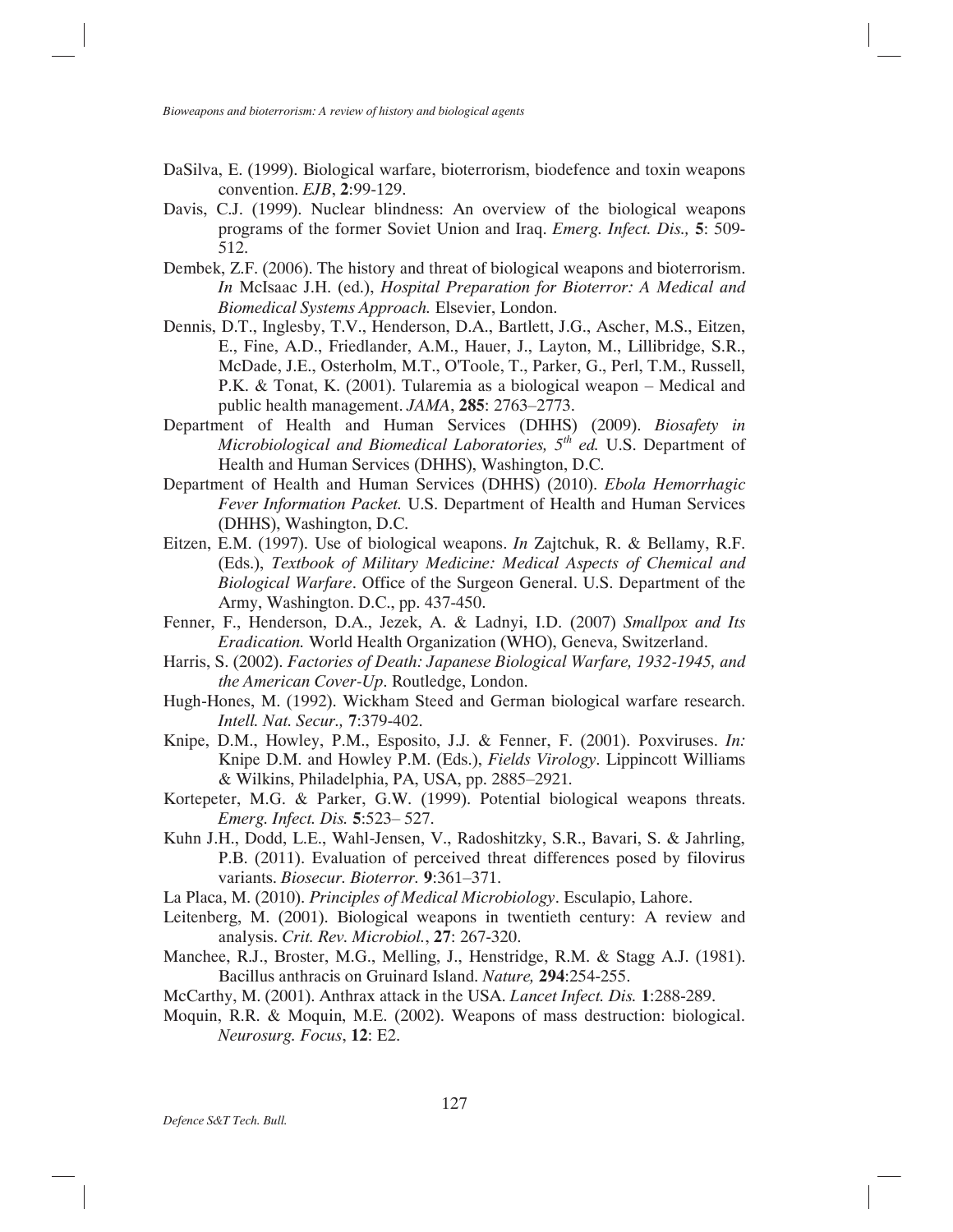- DaSilva, E. (1999). Biological warfare, bioterrorism, biodefence and toxin weapons convention. *EJB*, **2**:99-129.
- Davis, C.J. (1999). Nuclear blindness: An overview of the biological weapons programs of the former Soviet Union and Iraq. *Emerg. Infect. Dis.,* **5**: 509- 512.
- Dembek, Z.F. (2006). The history and threat of biological weapons and bioterrorism. *In* McIsaac J.H. (ed.), *Hospital Preparation for Bioterror: A Medical and Biomedical Systems Approach.* Elsevier, London.
- Dennis, D.T., Inglesby, T.V., Henderson, D.A., Bartlett, J.G., Ascher, M.S., Eitzen, E., Fine, A.D., Friedlander, A.M., Hauer, J., Layton, M., Lillibridge, S.R., McDade, J.E., Osterholm, M.T., O'Toole, T., Parker, G., Perl, T.M., Russell, P.K. & Tonat, K. (2001). Tularemia as a biological weapon – Medical and public health management. *JAMA*, **285**: 2763–2773.
- Department of Health and Human Services (DHHS) (2009). *Biosafety in Microbiological and Biomedical Laboratories, 5th ed.* U.S. Department of Health and Human Services (DHHS), Washington, D.C.
- Department of Health and Human Services (DHHS) (2010). *Ebola Hemorrhagic Fever Information Packet.* U.S. Department of Health and Human Services (DHHS), Washington, D.C.
- Eitzen, E.M. (1997). Use of biological weapons. *In* Zajtchuk, R. & Bellamy, R.F. (Eds.), *Textbook of Military Medicine: Medical Aspects of Chemical and Biological Warfare*. Office of the Surgeon General. U.S. Department of the Army, Washington. D.C., pp. 437-450.
- Fenner, F., Henderson, D.A., Jezek, A. & Ladnyi, I.D. (2007) *Smallpox and Its Eradication.* World Health Organization (WHO), Geneva, Switzerland.
- Harris, S. (2002). *Factories of Death: Japanese Biological Warfare, 1932-1945, and the American Cover-Up*. Routledge, London.
- Hugh-Hones, M. (1992). Wickham Steed and German biological warfare research. *Intell. Nat. Secur.,* **7**:379-402.
- Knipe, D.M., Howley, P.M., Esposito, J.J. & Fenner, F. (2001). Poxviruses. *In:* Knipe D.M. and Howley P.M. (Eds.), *Fields Virology*. Lippincott Williams & Wilkins, Philadelphia, PA, USA, pp. 2885–2921*.*
- Kortepeter, M.G. & Parker, G.W. (1999). Potential biological weapons threats. *Emerg. Infect. Dis.* **5**:523– 527.
- Kuhn J.H., Dodd, L.E., Wahl-Jensen, V., Radoshitzky, S.R., Bavari, S. & Jahrling, P.B. (2011). Evaluation of perceived threat differences posed by filovirus variants. *Biosecur. Bioterror.* **9**:361–371.
- La Placa, M. (2010). *Principles of Medical Microbiology*. Esculapio, Lahore.
- Leitenberg, M. (2001). Biological weapons in twentieth century: A review and analysis. *Crit. Rev. Microbiol.*, **27**: 267-320.
- Manchee, R.J., Broster, M.G., Melling, J., Henstridge, R.M. & Stagg A.J. (1981). Bacillus anthracis on Gruinard Island. *Nature,* **294**:254-255.
- McCarthy, M. (2001). Anthrax attack in the USA. *Lancet Infect. Dis.* **1**:288-289.
- Moquin, R.R. & Moquin, M.E. (2002). Weapons of mass destruction: biological. *Neurosurg. Focus*, **12**: E2.

*Defence S&T Tech. Bull.*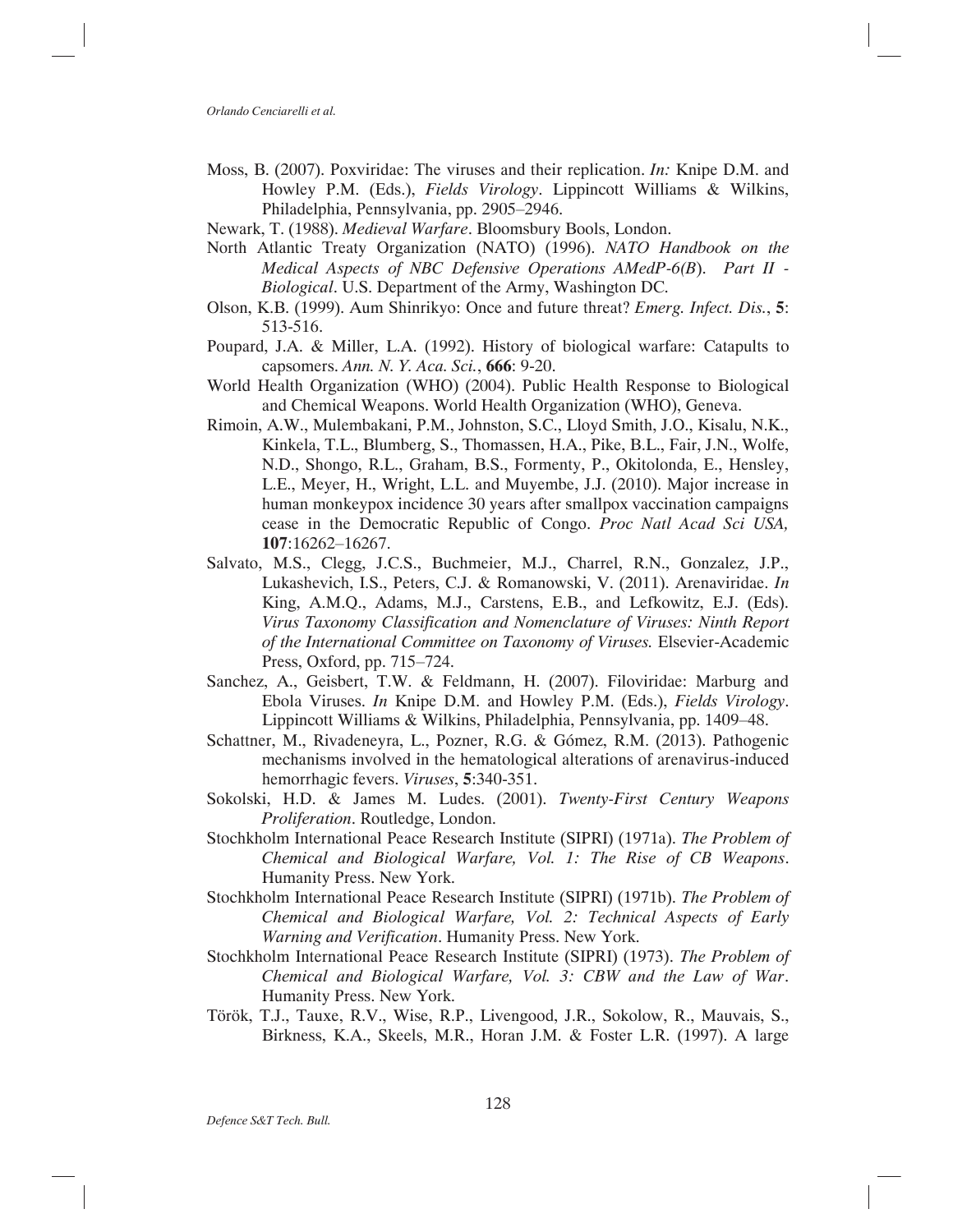- Moss, B. (2007). Poxviridae: The viruses and their replication. *In:* Knipe D.M. and Howley P.M. (Eds.), *Fields Virology*. Lippincott Williams & Wilkins, Philadelphia, Pennsylvania, pp. 2905–2946.
- Newark, T. (1988). *Medieval Warfare*. Bloomsbury Bools, London.
- North Atlantic Treaty Organization (NATO) (1996). *NATO Handbook on the Medical Aspects of NBC Defensive Operations AMedP-6(B*). *Part II - Biological*. U.S. Department of the Army, Washington DC.
- Olson, K.B. (1999). Aum Shinrikyo: Once and future threat? *Emerg. Infect. Dis.*, **5**: 513-516.
- Poupard, J.A. & Miller, L.A. (1992). History of biological warfare: Catapults to capsomers. *Ann. N. Y. Aca. Sci.*, **666**: 9-20.
- World Health Organization (WHO) (2004). Public Health Response to Biological and Chemical Weapons. World Health Organization (WHO), Geneva.
- Rimoin, A.W., Mulembakani, P.M., Johnston, S.C., Lloyd Smith, J.O., Kisalu, N.K., Kinkela, T.L., Blumberg, S., Thomassen, H.A., Pike, B.L., Fair, J.N., Wolfe, N.D., Shongo, R.L., Graham, B.S., Formenty, P., Okitolonda, E., Hensley, L.E., Meyer, H., Wright, L.L. and Muyembe, J.J. (2010). Major increase in human monkeypox incidence 30 years after smallpox vaccination campaigns cease in the Democratic Republic of Congo. *Proc Natl Acad Sci USA,* **107**:16262–16267.
- Salvato, M.S., Clegg, J.C.S., Buchmeier, M.J., Charrel, R.N., Gonzalez, J.P., Lukashevich, I.S., Peters, C.J. & Romanowski, V. (2011). Arenaviridae. *In* King, A.M.Q., Adams, M.J., Carstens, E.B., and Lefkowitz, E.J. (Eds). *Virus Taxonomy Classification and Nomenclature of Viruses: Ninth Report of the International Committee on Taxonomy of Viruses.* Elsevier-Academic Press, Oxford, pp. 715–724.
- Sanchez, A., Geisbert, T.W. & Feldmann, H. (2007). Filoviridae: Marburg and Ebola Viruses. *In* Knipe D.M. and Howley P.M. (Eds.), *Fields Virology*. Lippincott Williams & Wilkins, Philadelphia, Pennsylvania, pp. 1409–48.
- Schattner, M., Rivadeneyra, L., Pozner, R.G. & Gómez, R.M. (2013). Pathogenic mechanisms involved in the hematological alterations of arenavirus-induced hemorrhagic fevers. *Viruses*, **5**:340-351.
- Sokolski, H.D. & James M. Ludes. (2001). *Twenty-First Century Weapons Proliferation*. Routledge, London.
- Stochkholm International Peace Research Institute (SIPRI) (1971a). *The Problem of Chemical and Biological Warfare, Vol. 1: The Rise of CB Weapons*. Humanity Press. New York.
- Stochkholm International Peace Research Institute (SIPRI) (1971b). *The Problem of Chemical and Biological Warfare, Vol. 2: Technical Aspects of Early Warning and Verification*. Humanity Press. New York.
- Stochkholm International Peace Research Institute (SIPRI) (1973). *The Problem of Chemical and Biological Warfare, Vol. 3: CBW and the Law of War*. Humanity Press. New York.
- Török, T.J., Tauxe, R.V., Wise, R.P., Livengood, J.R., Sokolow, R., Mauvais, S., Birkness, K.A., Skeels, M.R., Horan J.M. & Foster L.R. (1997). A large